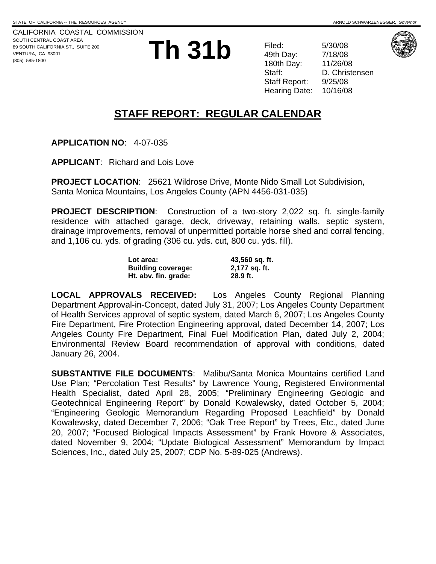CALIFORNIA COASTAL COMMISSION SOUTH CENTRAL COAST AREA 89 SOUTH CALIFORNIA ST., SUITE 200 VENTURA, CA 93001 **EXERCISION FOR A SOUTH CALIFORNIA ST., SUITE 200**<br>VENTURA, CA 93001<br>(805) 585-1800 **The 31b Day:** 7/18/08<br>(805) 585-1800 **180th Day:** 11/26/08

49th Day: 180th Dav: Staff: D. Christensen Staff Report: 9/25/08 Hearing Date: 10/16/08



# **STAFF REPORT: REGULAR CALENDAR**

**APPLICATION NO**: 4-07-035

**APPLICANT**: Richard and Lois Love

**PROJECT LOCATION**: 25621 Wildrose Drive, Monte Nido Small Lot Subdivision, Santa Monica Mountains, Los Angeles County (APN 4456-031-035)

**PROJECT DESCRIPTION**: Construction of a two-story 2,022 sq. ft. single-family residence with attached garage, deck, driveway, retaining walls, septic system, drainage improvements, removal of unpermitted portable horse shed and corral fencing, and 1,106 cu. yds. of grading (306 cu. yds. cut, 800 cu. yds. fill).

| Lot area:                 | 43,560 sq. ft. |
|---------------------------|----------------|
| <b>Building coverage:</b> | 2,177 sq. ft.  |
| Ht. abv. fin. grade:      | 28.9 ft.       |

**LOCAL APPROVALS RECEIVED:** Los Angeles County Regional Planning Department Approval-in-Concept, dated July 31, 2007; Los Angeles County Department of Health Services approval of septic system, dated March 6, 2007; Los Angeles County Fire Department, Fire Protection Engineering approval, dated December 14, 2007; Los Angeles County Fire Department, Final Fuel Modification Plan, dated July 2, 2004; Environmental Review Board recommendation of approval with conditions, dated January 26, 2004.

**SUBSTANTIVE FILE DOCUMENTS**: Malibu/Santa Monica Mountains certified Land Use Plan; "Percolation Test Results" by Lawrence Young, Registered Environmental Health Specialist, dated April 28, 2005; "Preliminary Engineering Geologic and Geotechnical Engineering Report" by Donald Kowalewsky, dated October 5, 2004; "Engineering Geologic Memorandum Regarding Proposed Leachfield" by Donald Kowalewsky, dated December 7, 2006; "Oak Tree Report" by Trees, Etc., dated June 20, 2007; "Focused Biological Impacts Assessment" by Frank Hovore & Associates, dated November 9, 2004; "Update Biological Assessment" Memorandum by Impact Sciences, Inc., dated July 25, 2007; CDP No. 5-89-025 (Andrews).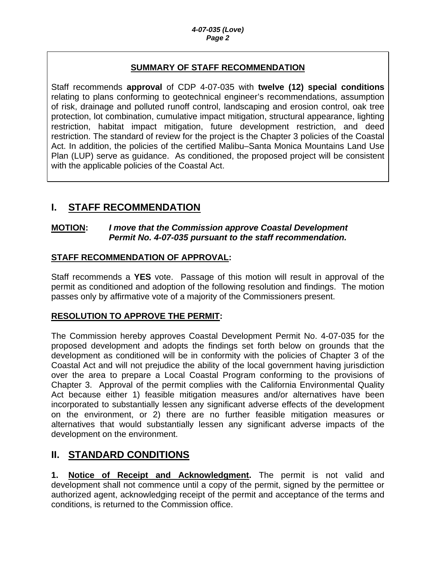# **SUMMARY OF STAFF RECOMMENDATION**

Staff recommends **approval** of CDP 4-07-035 with **twelve (12) special conditions** relating to plans conforming to geotechnical engineer's recommendations, assumption of risk, drainage and polluted runoff control, landscaping and erosion control, oak tree protection, lot combination, cumulative impact mitigation, structural appearance, lighting restriction, habitat impact mitigation, future development restriction, and deed restriction. The standard of review for the project is the Chapter 3 policies of the Coastal Act. In addition, the policies of the certified Malibu–Santa Monica Mountains Land Use Plan (LUP) serve as guidance. As conditioned, the proposed project will be consistent with the applicable policies of the Coastal Act.

# **I. STAFF RECOMMENDATION**

#### **MOTION:** *I move that the Commission approve Coastal Development Permit No. 4-07-035 pursuant to the staff recommendation.*

#### **STAFF RECOMMENDATION OF APPROVAL:**

Staff recommends a **YES** vote. Passage of this motion will result in approval of the permit as conditioned and adoption of the following resolution and findings. The motion passes only by affirmative vote of a majority of the Commissioners present.

# **RESOLUTION TO APPROVE THE PERMIT:**

The Commission hereby approves Coastal Development Permit No. 4-07-035 for the proposed development and adopts the findings set forth below on grounds that the development as conditioned will be in conformity with the policies of Chapter 3 of the Coastal Act and will not prejudice the ability of the local government having jurisdiction over the area to prepare a Local Coastal Program conforming to the provisions of Chapter 3. Approval of the permit complies with the California Environmental Quality Act because either 1) feasible mitigation measures and/or alternatives have been incorporated to substantially lessen any significant adverse effects of the development on the environment, or 2) there are no further feasible mitigation measures or alternatives that would substantially lessen any significant adverse impacts of the development on the environment.

# **II. STANDARD CONDITIONS**

**1. Notice of Receipt and Acknowledgment.** The permit is not valid and development shall not commence until a copy of the permit, signed by the permittee or authorized agent, acknowledging receipt of the permit and acceptance of the terms and conditions, is returned to the Commission office.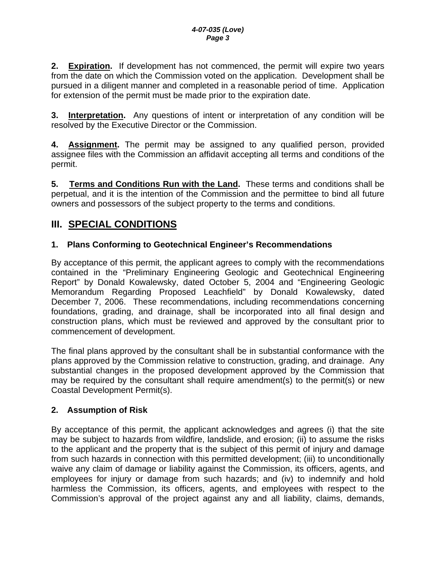**2. Expiration.** If development has not commenced, the permit will expire two years from the date on which the Commission voted on the application. Development shall be pursued in a diligent manner and completed in a reasonable period of time. Application for extension of the permit must be made prior to the expiration date.

**3. Interpretation.** Any questions of intent or interpretation of any condition will be resolved by the Executive Director or the Commission.

**4. Assignment.** The permit may be assigned to any qualified person, provided assignee files with the Commission an affidavit accepting all terms and conditions of the permit.

**5. Terms and Conditions Run with the Land.** These terms and conditions shall be perpetual, and it is the intention of the Commission and the permittee to bind all future owners and possessors of the subject property to the terms and conditions.

# **III. SPECIAL CONDITIONS**

# **1. Plans Conforming to Geotechnical Engineer's Recommendations**

By acceptance of this permit, the applicant agrees to comply with the recommendations contained in the "Preliminary Engineering Geologic and Geotechnical Engineering Report" by Donald Kowalewsky, dated October 5, 2004 and "Engineering Geologic Memorandum Regarding Proposed Leachfield" by Donald Kowalewsky, dated December 7, 2006. These recommendations, including recommendations concerning foundations, grading, and drainage, shall be incorporated into all final design and construction plans, which must be reviewed and approved by the consultant prior to commencement of development.

The final plans approved by the consultant shall be in substantial conformance with the plans approved by the Commission relative to construction, grading, and drainage. Any substantial changes in the proposed development approved by the Commission that may be required by the consultant shall require amendment(s) to the permit(s) or new Coastal Development Permit(s).

# **2. Assumption of Risk**

By acceptance of this permit, the applicant acknowledges and agrees (i) that the site may be subject to hazards from wildfire, landslide, and erosion; (ii) to assume the risks to the applicant and the property that is the subject of this permit of injury and damage from such hazards in connection with this permitted development; (iii) to unconditionally waive any claim of damage or liability against the Commission, its officers, agents, and employees for injury or damage from such hazards; and (iv) to indemnify and hold harmless the Commission, its officers, agents, and employees with respect to the Commission's approval of the project against any and all liability, claims, demands,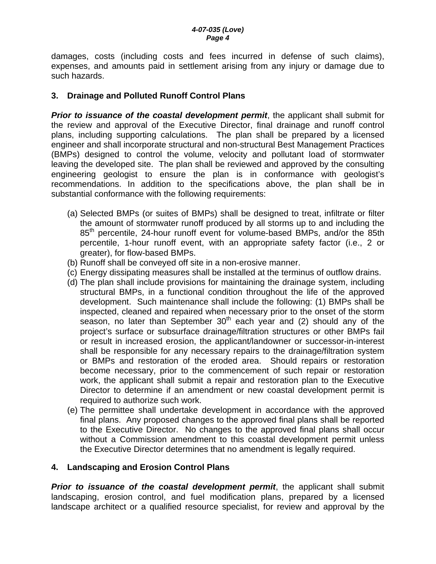damages, costs (including costs and fees incurred in defense of such claims), expenses, and amounts paid in settlement arising from any injury or damage due to such hazards.

## **3. Drainage and Polluted Runoff Control Plans**

*Prior to issuance of the coastal development permit*, the applicant shall submit for the review and approval of the Executive Director, final drainage and runoff control plans, including supporting calculations. The plan shall be prepared by a licensed engineer and shall incorporate structural and non-structural Best Management Practices (BMPs) designed to control the volume, velocity and pollutant load of stormwater leaving the developed site. The plan shall be reviewed and approved by the consulting engineering geologist to ensure the plan is in conformance with geologist's recommendations. In addition to the specifications above, the plan shall be in substantial conformance with the following requirements:

- (a) Selected BMPs (or suites of BMPs) shall be designed to treat, infiltrate or filter the amount of stormwater runoff produced by all storms up to and including the 85<sup>th</sup> percentile, 24-hour runoff event for volume-based BMPs, and/or the 85th percentile, 1-hour runoff event, with an appropriate safety factor (i.e., 2 or greater), for flow-based BMPs.
- (b) Runoff shall be conveyed off site in a non-erosive manner.
- (c) Energy dissipating measures shall be installed at the terminus of outflow drains.
- (d) The plan shall include provisions for maintaining the drainage system, including structural BMPs, in a functional condition throughout the life of the approved development. Such maintenance shall include the following: (1) BMPs shall be inspected, cleaned and repaired when necessary prior to the onset of the storm season, no later than September  $30<sup>th</sup>$  each year and (2) should any of the project's surface or subsurface drainage/filtration structures or other BMPs fail or result in increased erosion, the applicant/landowner or successor-in-interest shall be responsible for any necessary repairs to the drainage/filtration system or BMPs and restoration of the eroded area. Should repairs or restoration become necessary, prior to the commencement of such repair or restoration work, the applicant shall submit a repair and restoration plan to the Executive Director to determine if an amendment or new coastal development permit is required to authorize such work.
- (e) The permittee shall undertake development in accordance with the approved final plans. Any proposed changes to the approved final plans shall be reported to the Executive Director. No changes to the approved final plans shall occur without a Commission amendment to this coastal development permit unless the Executive Director determines that no amendment is legally required.

# **4. Landscaping and Erosion Control Plans**

**Prior to issuance of the coastal development permit**, the applicant shall submit landscaping, erosion control, and fuel modification plans, prepared by a licensed landscape architect or a qualified resource specialist, for review and approval by the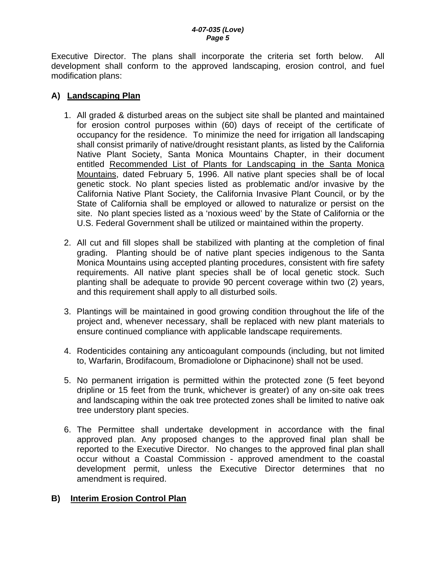Executive Director. The plans shall incorporate the criteria set forth below. All development shall conform to the approved landscaping, erosion control, and fuel modification plans:

### **A) Landscaping Plan**

- 1. All graded & disturbed areas on the subject site shall be planted and maintained for erosion control purposes within (60) days of receipt of the certificate of occupancy for the residence. To minimize the need for irrigation all landscaping shall consist primarily of native/drought resistant plants, as listed by the California Native Plant Society, Santa Monica Mountains Chapter, in their document entitled Recommended List of Plants for Landscaping in the Santa Monica Mountains, dated February 5, 1996. All native plant species shall be of local genetic stock. No plant species listed as problematic and/or invasive by the California Native Plant Society, the California Invasive Plant Council, or by the State of California shall be employed or allowed to naturalize or persist on the site. No plant species listed as a 'noxious weed' by the State of California or the U.S. Federal Government shall be utilized or maintained within the property.
- 2. All cut and fill slopes shall be stabilized with planting at the completion of final grading. Planting should be of native plant species indigenous to the Santa Monica Mountains using accepted planting procedures, consistent with fire safety requirements. All native plant species shall be of local genetic stock. Such planting shall be adequate to provide 90 percent coverage within two (2) years, and this requirement shall apply to all disturbed soils.
- 3. Plantings will be maintained in good growing condition throughout the life of the project and, whenever necessary, shall be replaced with new plant materials to ensure continued compliance with applicable landscape requirements.
- 4. Rodenticides containing any anticoagulant compounds (including, but not limited to, Warfarin, Brodifacoum, Bromadiolone or Diphacinone) shall not be used.
- 5. No permanent irrigation is permitted within the protected zone (5 feet beyond dripline or 15 feet from the trunk, whichever is greater) of any on-site oak trees and landscaping within the oak tree protected zones shall be limited to native oak tree understory plant species.
- 6. The Permittee shall undertake development in accordance with the final approved plan. Any proposed changes to the approved final plan shall be reported to the Executive Director. No changes to the approved final plan shall occur without a Coastal Commission - approved amendment to the coastal development permit, unless the Executive Director determines that no amendment is required.

# **B) Interim Erosion Control Plan**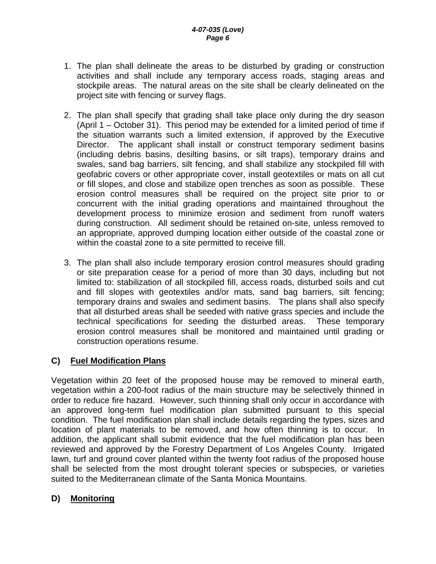- 1. The plan shall delineate the areas to be disturbed by grading or construction activities and shall include any temporary access roads, staging areas and stockpile areas. The natural areas on the site shall be clearly delineated on the project site with fencing or survey flags.
- 2. The plan shall specify that grading shall take place only during the dry season (April 1 – October 31). This period may be extended for a limited period of time if the situation warrants such a limited extension, if approved by the Executive Director. The applicant shall install or construct temporary sediment basins (including debris basins, desilting basins, or silt traps), temporary drains and swales, sand bag barriers, silt fencing, and shall stabilize any stockpiled fill with geofabric covers or other appropriate cover, install geotextiles or mats on all cut or fill slopes, and close and stabilize open trenches as soon as possible. These erosion control measures shall be required on the project site prior to or concurrent with the initial grading operations and maintained throughout the development process to minimize erosion and sediment from runoff waters during construction. All sediment should be retained on-site, unless removed to an appropriate, approved dumping location either outside of the coastal zone or within the coastal zone to a site permitted to receive fill.
- 3. The plan shall also include temporary erosion control measures should grading or site preparation cease for a period of more than 30 days, including but not limited to: stabilization of all stockpiled fill, access roads, disturbed soils and cut and fill slopes with geotextiles and/or mats, sand bag barriers, silt fencing; temporary drains and swales and sediment basins. The plans shall also specify that all disturbed areas shall be seeded with native grass species and include the technical specifications for seeding the disturbed areas. These temporary erosion control measures shall be monitored and maintained until grading or construction operations resume.

# **C) Fuel Modification Plans**

Vegetation within 20 feet of the proposed house may be removed to mineral earth, vegetation within a 200-foot radius of the main structure may be selectively thinned in order to reduce fire hazard. However, such thinning shall only occur in accordance with an approved long-term fuel modification plan submitted pursuant to this special condition. The fuel modification plan shall include details regarding the types, sizes and location of plant materials to be removed, and how often thinning is to occur. In addition, the applicant shall submit evidence that the fuel modification plan has been reviewed and approved by the Forestry Department of Los Angeles County. Irrigated lawn, turf and ground cover planted within the twenty foot radius of the proposed house shall be selected from the most drought tolerant species or subspecies, or varieties suited to the Mediterranean climate of the Santa Monica Mountains.

# **D) Monitoring**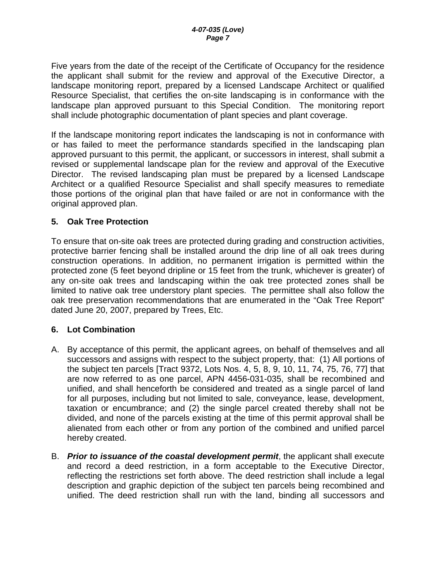Five years from the date of the receipt of the Certificate of Occupancy for the residence the applicant shall submit for the review and approval of the Executive Director, a landscape monitoring report, prepared by a licensed Landscape Architect or qualified Resource Specialist, that certifies the on-site landscaping is in conformance with the landscape plan approved pursuant to this Special Condition. The monitoring report shall include photographic documentation of plant species and plant coverage.

If the landscape monitoring report indicates the landscaping is not in conformance with or has failed to meet the performance standards specified in the landscaping plan approved pursuant to this permit, the applicant, or successors in interest, shall submit a revised or supplemental landscape plan for the review and approval of the Executive Director. The revised landscaping plan must be prepared by a licensed Landscape Architect or a qualified Resource Specialist and shall specify measures to remediate those portions of the original plan that have failed or are not in conformance with the original approved plan.

### **5. Oak Tree Protection**

To ensure that on-site oak trees are protected during grading and construction activities, protective barrier fencing shall be installed around the drip line of all oak trees during construction operations. In addition, no permanent irrigation is permitted within the protected zone (5 feet beyond dripline or 15 feet from the trunk, whichever is greater) of any on-site oak trees and landscaping within the oak tree protected zones shall be limited to native oak tree understory plant species. The permittee shall also follow the oak tree preservation recommendations that are enumerated in the "Oak Tree Report" dated June 20, 2007, prepared by Trees, Etc.

#### **6. Lot Combination**

- A. By acceptance of this permit, the applicant agrees, on behalf of themselves and all successors and assigns with respect to the subject property, that: (1) All portions of the subject ten parcels [Tract 9372, Lots Nos. 4, 5, 8, 9, 10, 11, 74, 75, 76, 77] that are now referred to as one parcel, APN 4456-031-035, shall be recombined and unified, and shall henceforth be considered and treated as a single parcel of land for all purposes, including but not limited to sale, conveyance, lease, development, taxation or encumbrance; and (2) the single parcel created thereby shall not be divided, and none of the parcels existing at the time of this permit approval shall be alienated from each other or from any portion of the combined and unified parcel hereby created.
- B. *Prior to issuance of the coastal development permit*, the applicant shall execute and record a deed restriction, in a form acceptable to the Executive Director, reflecting the restrictions set forth above. The deed restriction shall include a legal description and graphic depiction of the subject ten parcels being recombined and unified. The deed restriction shall run with the land, binding all successors and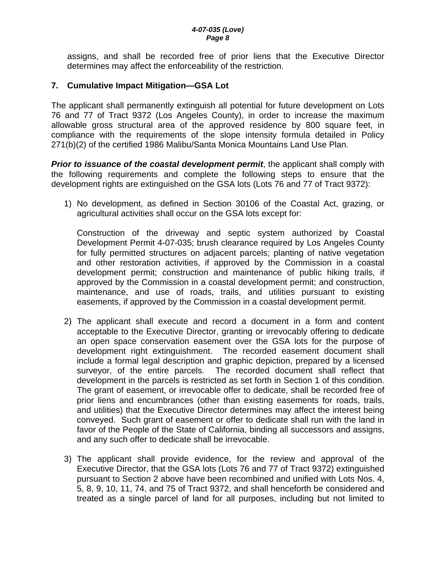assigns, and shall be recorded free of prior liens that the Executive Director determines may affect the enforceability of the restriction.

## **7. Cumulative Impact Mitigation—GSA Lot**

The applicant shall permanently extinguish all potential for future development on Lots 76 and 77 of Tract 9372 (Los Angeles County), in order to increase the maximum allowable gross structural area of the approved residence by 800 square feet, in compliance with the requirements of the slope intensity formula detailed in Policy 271(b)(2) of the certified 1986 Malibu/Santa Monica Mountains Land Use Plan.

**Prior to issuance of the coastal development permit**, the applicant shall comply with the following requirements and complete the following steps to ensure that the development rights are extinguished on the GSA lots (Lots 76 and 77 of Tract 9372):

1) No development, as defined in Section 30106 of the Coastal Act, grazing, or agricultural activities shall occur on the GSA lots except for:

Construction of the driveway and septic system authorized by Coastal Development Permit 4-07-035; brush clearance required by Los Angeles County for fully permitted structures on adjacent parcels; planting of native vegetation and other restoration activities, if approved by the Commission in a coastal development permit; construction and maintenance of public hiking trails, if approved by the Commission in a coastal development permit; and construction, maintenance, and use of roads, trails, and utilities pursuant to existing easements, if approved by the Commission in a coastal development permit.

- 2) The applicant shall execute and record a document in a form and content acceptable to the Executive Director, granting or irrevocably offering to dedicate an open space conservation easement over the GSA lots for the purpose of development right extinguishment. The recorded easement document shall include a formal legal description and graphic depiction, prepared by a licensed surveyor, of the entire parcels. The recorded document shall reflect that development in the parcels is restricted as set forth in Section 1 of this condition. The grant of easement, or irrevocable offer to dedicate, shall be recorded free of prior liens and encumbrances (other than existing easements for roads, trails, and utilities) that the Executive Director determines may affect the interest being conveyed. Such grant of easement or offer to dedicate shall run with the land in favor of the People of the State of California, binding all successors and assigns, and any such offer to dedicate shall be irrevocable.
- 3) The applicant shall provide evidence, for the review and approval of the Executive Director, that the GSA lots (Lots 76 and 77 of Tract 9372) extinguished pursuant to Section 2 above have been recombined and unified with Lots Nos. 4, 5, 8, 9, 10, 11, 74, and 75 of Tract 9372, and shall henceforth be considered and treated as a single parcel of land for all purposes, including but not limited to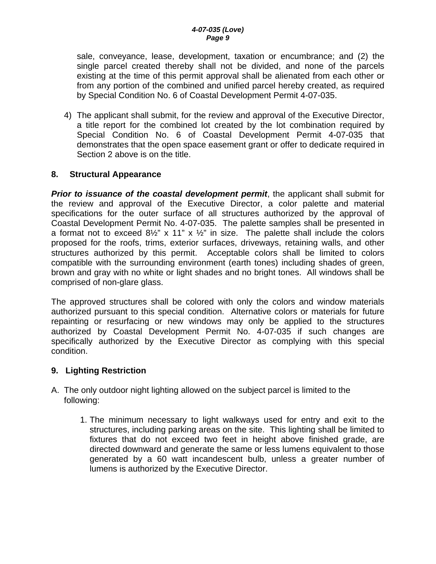#### *4-07-035 (Love) Page 9*

sale, conveyance, lease, development, taxation or encumbrance; and (2) the single parcel created thereby shall not be divided, and none of the parcels existing at the time of this permit approval shall be alienated from each other or from any portion of the combined and unified parcel hereby created, as required by Special Condition No. 6 of Coastal Development Permit 4-07-035.

4) The applicant shall submit, for the review and approval of the Executive Director, a title report for the combined lot created by the lot combination required by Special Condition No. 6 of Coastal Development Permit 4-07-035 that demonstrates that the open space easement grant or offer to dedicate required in Section 2 above is on the title.

# **8. Structural Appearance**

**Prior to issuance of the coastal development permit**, the applicant shall submit for the review and approval of the Executive Director, a color palette and material specifications for the outer surface of all structures authorized by the approval of Coastal Development Permit No. 4-07-035. The palette samples shall be presented in a format not to exceed  $8\frac{1}{2}$ " x 11" x  $\frac{1}{2}$ " in size. The palette shall include the colors proposed for the roofs, trims, exterior surfaces, driveways, retaining walls, and other structures authorized by this permit. Acceptable colors shall be limited to colors compatible with the surrounding environment (earth tones) including shades of green, brown and gray with no white or light shades and no bright tones. All windows shall be comprised of non-glare glass.

The approved structures shall be colored with only the colors and window materials authorized pursuant to this special condition. Alternative colors or materials for future repainting or resurfacing or new windows may only be applied to the structures authorized by Coastal Development Permit No. 4-07-035 if such changes are specifically authorized by the Executive Director as complying with this special condition.

#### **9. Lighting Restriction**

- A. The only outdoor night lighting allowed on the subject parcel is limited to the following:
	- 1. The minimum necessary to light walkways used for entry and exit to the structures, including parking areas on the site. This lighting shall be limited to fixtures that do not exceed two feet in height above finished grade, are directed downward and generate the same or less lumens equivalent to those generated by a 60 watt incandescent bulb, unless a greater number of lumens is authorized by the Executive Director.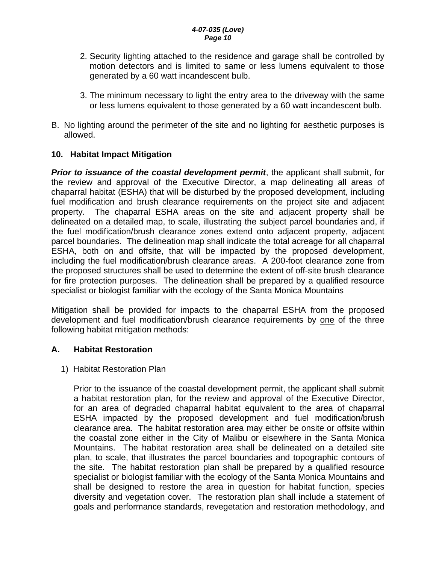#### *4-07-035 (Love) Page 10*

- 2. Security lighting attached to the residence and garage shall be controlled by motion detectors and is limited to same or less lumens equivalent to those generated by a 60 watt incandescent bulb.
- 3. The minimum necessary to light the entry area to the driveway with the same or less lumens equivalent to those generated by a 60 watt incandescent bulb.
- B. No lighting around the perimeter of the site and no lighting for aesthetic purposes is allowed.

# **10. Habitat Impact Mitigation**

**Prior to issuance of the coastal development permit**, the applicant shall submit, for the review and approval of the Executive Director, a map delineating all areas of chaparral habitat (ESHA) that will be disturbed by the proposed development, including fuel modification and brush clearance requirements on the project site and adjacent property. The chaparral ESHA areas on the site and adjacent property shall be delineated on a detailed map, to scale, illustrating the subject parcel boundaries and, if the fuel modification/brush clearance zones extend onto adjacent property, adjacent parcel boundaries. The delineation map shall indicate the total acreage for all chaparral ESHA, both on and offsite, that will be impacted by the proposed development, including the fuel modification/brush clearance areas. A 200-foot clearance zone from the proposed structures shall be used to determine the extent of off-site brush clearance for fire protection purposes. The delineation shall be prepared by a qualified resource specialist or biologist familiar with the ecology of the Santa Monica Mountains

Mitigation shall be provided for impacts to the chaparral ESHA from the proposed development and fuel modification/brush clearance requirements by one of the three following habitat mitigation methods:

# **A. Habitat Restoration**

# 1) Habitat Restoration Plan

Prior to the issuance of the coastal development permit, the applicant shall submit a habitat restoration plan, for the review and approval of the Executive Director, for an area of degraded chaparral habitat equivalent to the area of chaparral ESHA impacted by the proposed development and fuel modification/brush clearance area. The habitat restoration area may either be onsite or offsite within the coastal zone either in the City of Malibu or elsewhere in the Santa Monica Mountains. The habitat restoration area shall be delineated on a detailed site plan, to scale, that illustrates the parcel boundaries and topographic contours of the site. The habitat restoration plan shall be prepared by a qualified resource specialist or biologist familiar with the ecology of the Santa Monica Mountains and shall be designed to restore the area in question for habitat function, species diversity and vegetation cover. The restoration plan shall include a statement of goals and performance standards, revegetation and restoration methodology, and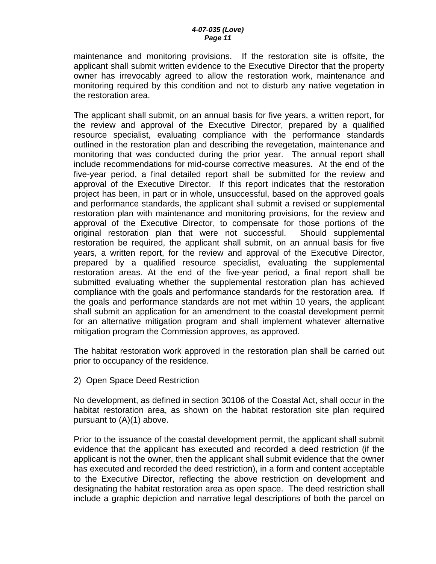maintenance and monitoring provisions. If the restoration site is offsite, the applicant shall submit written evidence to the Executive Director that the property owner has irrevocably agreed to allow the restoration work, maintenance and monitoring required by this condition and not to disturb any native vegetation in the restoration area.

The applicant shall submit, on an annual basis for five years, a written report, for the review and approval of the Executive Director, prepared by a qualified resource specialist, evaluating compliance with the performance standards outlined in the restoration plan and describing the revegetation, maintenance and monitoring that was conducted during the prior year. The annual report shall include recommendations for mid-course corrective measures. At the end of the five-year period, a final detailed report shall be submitted for the review and approval of the Executive Director. If this report indicates that the restoration project has been, in part or in whole, unsuccessful, based on the approved goals and performance standards, the applicant shall submit a revised or supplemental restoration plan with maintenance and monitoring provisions, for the review and approval of the Executive Director, to compensate for those portions of the original restoration plan that were not successful. Should supplemental restoration be required, the applicant shall submit, on an annual basis for five years, a written report, for the review and approval of the Executive Director, prepared by a qualified resource specialist, evaluating the supplemental restoration areas. At the end of the five-year period, a final report shall be submitted evaluating whether the supplemental restoration plan has achieved compliance with the goals and performance standards for the restoration area. If the goals and performance standards are not met within 10 years, the applicant shall submit an application for an amendment to the coastal development permit for an alternative mitigation program and shall implement whatever alternative mitigation program the Commission approves, as approved.

The habitat restoration work approved in the restoration plan shall be carried out prior to occupancy of the residence.

2) Open Space Deed Restriction

No development, as defined in section 30106 of the Coastal Act, shall occur in the habitat restoration area, as shown on the habitat restoration site plan required pursuant to (A)(1) above.

Prior to the issuance of the coastal development permit, the applicant shall submit evidence that the applicant has executed and recorded a deed restriction (if the applicant is not the owner, then the applicant shall submit evidence that the owner has executed and recorded the deed restriction), in a form and content acceptable to the Executive Director, reflecting the above restriction on development and designating the habitat restoration area as open space. The deed restriction shall include a graphic depiction and narrative legal descriptions of both the parcel on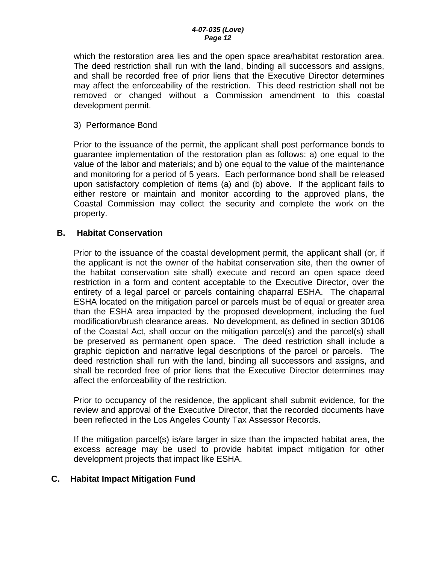which the restoration area lies and the open space area/habitat restoration area. The deed restriction shall run with the land, binding all successors and assigns, and shall be recorded free of prior liens that the Executive Director determines may affect the enforceability of the restriction. This deed restriction shall not be removed or changed without a Commission amendment to this coastal development permit.

#### 3) Performance Bond

Prior to the issuance of the permit, the applicant shall post performance bonds to guarantee implementation of the restoration plan as follows: a) one equal to the value of the labor and materials; and b) one equal to the value of the maintenance and monitoring for a period of 5 years. Each performance bond shall be released upon satisfactory completion of items (a) and (b) above. If the applicant fails to either restore or maintain and monitor according to the approved plans, the Coastal Commission may collect the security and complete the work on the property.

#### **B. Habitat Conservation**

Prior to the issuance of the coastal development permit, the applicant shall (or, if the applicant is not the owner of the habitat conservation site, then the owner of the habitat conservation site shall) execute and record an open space deed restriction in a form and content acceptable to the Executive Director, over the entirety of a legal parcel or parcels containing chaparral ESHA. The chaparral ESHA located on the mitigation parcel or parcels must be of equal or greater area than the ESHA area impacted by the proposed development, including the fuel modification/brush clearance areas. No development, as defined in section 30106 of the Coastal Act, shall occur on the mitigation parcel(s) and the parcel(s) shall be preserved as permanent open space. The deed restriction shall include a graphic depiction and narrative legal descriptions of the parcel or parcels. The deed restriction shall run with the land, binding all successors and assigns, and shall be recorded free of prior liens that the Executive Director determines may affect the enforceability of the restriction.

Prior to occupancy of the residence, the applicant shall submit evidence, for the review and approval of the Executive Director, that the recorded documents have been reflected in the Los Angeles County Tax Assessor Records.

If the mitigation parcel(s) is/are larger in size than the impacted habitat area, the excess acreage may be used to provide habitat impact mitigation for other development projects that impact like ESHA.

#### **C. Habitat Impact Mitigation Fund**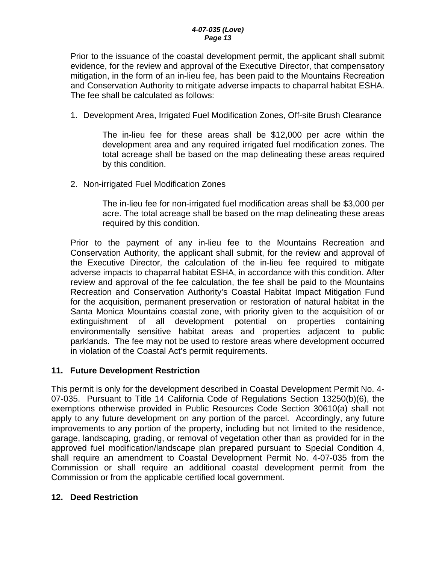#### *4-07-035 (Love) Page 13*

Prior to the issuance of the coastal development permit, the applicant shall submit evidence, for the review and approval of the Executive Director, that compensatory mitigation, in the form of an in-lieu fee, has been paid to the Mountains Recreation and Conservation Authority to mitigate adverse impacts to chaparral habitat ESHA. The fee shall be calculated as follows:

1. Development Area, Irrigated Fuel Modification Zones, Off-site Brush Clearance

The in-lieu fee for these areas shall be \$12,000 per acre within the development area and any required irrigated fuel modification zones. The total acreage shall be based on the map delineating these areas required by this condition.

2. Non-irrigated Fuel Modification Zones

The in-lieu fee for non-irrigated fuel modification areas shall be \$3,000 per acre. The total acreage shall be based on the map delineating these areas required by this condition.

Prior to the payment of any in-lieu fee to the Mountains Recreation and Conservation Authority, the applicant shall submit, for the review and approval of the Executive Director, the calculation of the in-lieu fee required to mitigate adverse impacts to chaparral habitat ESHA, in accordance with this condition. After review and approval of the fee calculation, the fee shall be paid to the Mountains Recreation and Conservation Authority's Coastal Habitat Impact Mitigation Fund for the acquisition, permanent preservation or restoration of natural habitat in the Santa Monica Mountains coastal zone, with priority given to the acquisition of or extinguishment of all development potential on properties containing environmentally sensitive habitat areas and properties adjacent to public parklands. The fee may not be used to restore areas where development occurred in violation of the Coastal Act's permit requirements.

#### **11. Future Development Restriction**

This permit is only for the development described in Coastal Development Permit No. 4- 07-035. Pursuant to Title 14 California Code of Regulations Section 13250(b)(6), the exemptions otherwise provided in Public Resources Code Section 30610(a) shall not apply to any future development on any portion of the parcel. Accordingly, any future improvements to any portion of the property, including but not limited to the residence, garage, landscaping, grading, or removal of vegetation other than as provided for in the approved fuel modification/landscape plan prepared pursuant to Special Condition 4, shall require an amendment to Coastal Development Permit No. 4-07-035 from the Commission or shall require an additional coastal development permit from the Commission or from the applicable certified local government.

#### **12. Deed Restriction**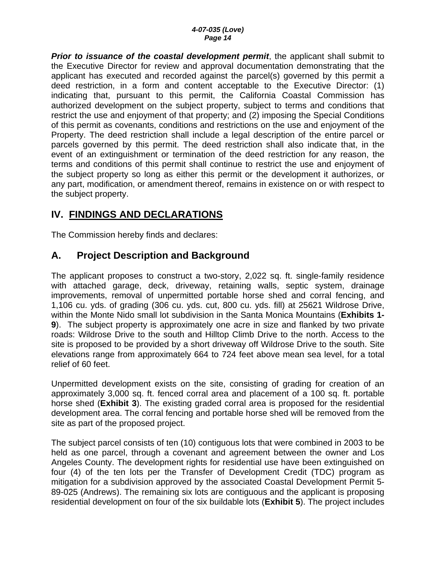#### *4-07-035 (Love) Page 14*

*Prior to issuance of the coastal development permit*, the applicant shall submit to the Executive Director for review and approval documentation demonstrating that the applicant has executed and recorded against the parcel(s) governed by this permit a deed restriction, in a form and content acceptable to the Executive Director: (1) indicating that, pursuant to this permit, the California Coastal Commission has authorized development on the subject property, subject to terms and conditions that restrict the use and enjoyment of that property; and (2) imposing the Special Conditions of this permit as covenants, conditions and restrictions on the use and enjoyment of the Property. The deed restriction shall include a legal description of the entire parcel or parcels governed by this permit. The deed restriction shall also indicate that, in the event of an extinguishment or termination of the deed restriction for any reason, the terms and conditions of this permit shall continue to restrict the use and enjoyment of the subject property so long as either this permit or the development it authorizes, or any part, modification, or amendment thereof, remains in existence on or with respect to the subject property.

# **IV. FINDINGS AND DECLARATIONS**

The Commission hereby finds and declares:

# **A. Project Description and Background**

The applicant proposes to construct a two-story, 2,022 sq. ft. single-family residence with attached garage, deck, driveway, retaining walls, septic system, drainage improvements, removal of unpermitted portable horse shed and corral fencing, and 1,106 cu. yds. of grading (306 cu. yds. cut, 800 cu. yds. fill) at 25621 Wildrose Drive, within the Monte Nido small lot subdivision in the Santa Monica Mountains (**Exhibits 1- 9**). The subject property is approximately one acre in size and flanked by two private roads: Wildrose Drive to the south and Hilltop Climb Drive to the north. Access to the site is proposed to be provided by a short driveway off Wildrose Drive to the south. Site elevations range from approximately 664 to 724 feet above mean sea level, for a total relief of 60 feet.

Unpermitted development exists on the site, consisting of grading for creation of an approximately 3,000 sq. ft. fenced corral area and placement of a 100 sq. ft. portable horse shed (**Exhibit 3**). The existing graded corral area is proposed for the residential development area. The corral fencing and portable horse shed will be removed from the site as part of the proposed project.

The subject parcel consists of ten (10) contiguous lots that were combined in 2003 to be held as one parcel, through a covenant and agreement between the owner and Los Angeles County. The development rights for residential use have been extinguished on four (4) of the ten lots per the Transfer of Development Credit (TDC) program as mitigation for a subdivision approved by the associated Coastal Development Permit 5- 89-025 (Andrews). The remaining six lots are contiguous and the applicant is proposing residential development on four of the six buildable lots (**Exhibit 5**). The project includes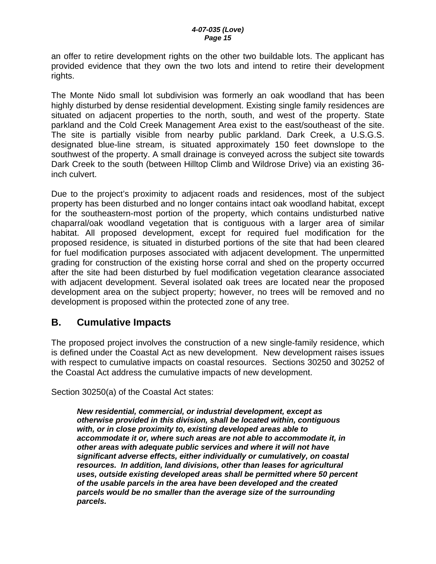an offer to retire development rights on the other two buildable lots. The applicant has provided evidence that they own the two lots and intend to retire their development rights.

The Monte Nido small lot subdivision was formerly an oak woodland that has been highly disturbed by dense residential development. Existing single family residences are situated on adjacent properties to the north, south, and west of the property. State parkland and the Cold Creek Management Area exist to the east/southeast of the site. The site is partially visible from nearby public parkland. Dark Creek, a U.S.G.S. designated blue-line stream, is situated approximately 150 feet downslope to the southwest of the property. A small drainage is conveyed across the subject site towards Dark Creek to the south (between Hilltop Climb and Wildrose Drive) via an existing 36 inch culvert.

Due to the project's proximity to adjacent roads and residences, most of the subject property has been disturbed and no longer contains intact oak woodland habitat, except for the southeastern-most portion of the property, which contains undisturbed native chaparral/oak woodland vegetation that is contiguous with a larger area of similar habitat. All proposed development, except for required fuel modification for the proposed residence, is situated in disturbed portions of the site that had been cleared for fuel modification purposes associated with adjacent development. The unpermitted grading for construction of the existing horse corral and shed on the property occurred after the site had been disturbed by fuel modification vegetation clearance associated with adjacent development. Several isolated oak trees are located near the proposed development area on the subject property; however, no trees will be removed and no development is proposed within the protected zone of any tree.

# **B. Cumulative Impacts**

The proposed project involves the construction of a new single-family residence, which is defined under the Coastal Act as new development. New development raises issues with respect to cumulative impacts on coastal resources. Sections 30250 and 30252 of the Coastal Act address the cumulative impacts of new development.

Section 30250(a) of the Coastal Act states:

*New residential, commercial, or industrial development, except as otherwise provided in this division, shall be located within, contiguous with, or in close proximity to, existing developed areas able to accommodate it or, where such areas are not able to accommodate it, in other areas with adequate public services and where it will not have significant adverse effects, either individually or cumulatively, on coastal resources. In addition, land divisions, other than leases for agricultural uses, outside existing developed areas shall be permitted where 50 percent of the usable parcels in the area have been developed and the created parcels would be no smaller than the average size of the surrounding parcels.*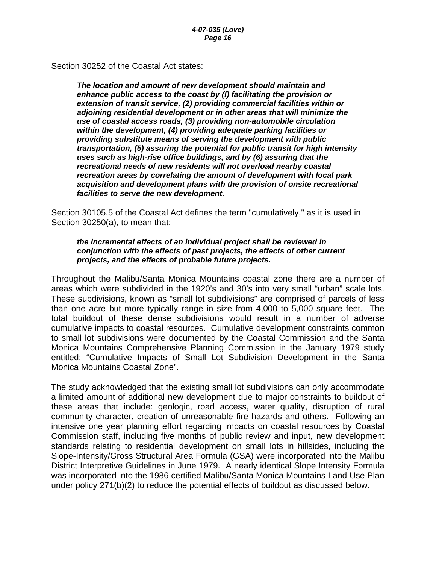Section 30252 of the Coastal Act states:

*The location and amount of new development should maintain and enhance public access to the coast by (l) facilitating the provision or extension of transit service, (2) providing commercial facilities within or adjoining residential development or in other areas that will minimize the use of coastal access roads, (3) providing non-automobile circulation within the development, (4) providing adequate parking facilities or providing substitute means of serving the development with public transportation, (5) assuring the potential for public transit for high intensity uses such as high-rise office buildings, and by (6) assuring that the recreational needs of new residents will not overload nearby coastal recreation areas by correlating the amount of development with local park acquisition and development plans with the provision of onsite recreational facilities to serve the new development*.

Section 30105.5 of the Coastal Act defines the term "cumulatively," as it is used in Section 30250(a), to mean that:

#### *the incremental effects of an individual project shall be reviewed in conjunction with the effects of past projects, the effects of other current projects, and the effects of probable future projects.*

Throughout the Malibu/Santa Monica Mountains coastal zone there are a number of areas which were subdivided in the 1920's and 30's into very small "urban" scale lots. These subdivisions, known as "small lot subdivisions" are comprised of parcels of less than one acre but more typically range in size from 4,000 to 5,000 square feet. The total buildout of these dense subdivisions would result in a number of adverse cumulative impacts to coastal resources. Cumulative development constraints common to small lot subdivisions were documented by the Coastal Commission and the Santa Monica Mountains Comprehensive Planning Commission in the January 1979 study entitled: "Cumulative Impacts of Small Lot Subdivision Development in the Santa Monica Mountains Coastal Zone".

The study acknowledged that the existing small lot subdivisions can only accommodate a limited amount of additional new development due to major constraints to buildout of these areas that include: geologic, road access, water quality, disruption of rural community character, creation of unreasonable fire hazards and others. Following an intensive one year planning effort regarding impacts on coastal resources by Coastal Commission staff, including five months of public review and input, new development standards relating to residential development on small lots in hillsides, including the Slope-Intensity/Gross Structural Area Formula (GSA) were incorporated into the Malibu District Interpretive Guidelines in June 1979. A nearly identical Slope Intensity Formula was incorporated into the 1986 certified Malibu/Santa Monica Mountains Land Use Plan under policy 271(b)(2) to reduce the potential effects of buildout as discussed below.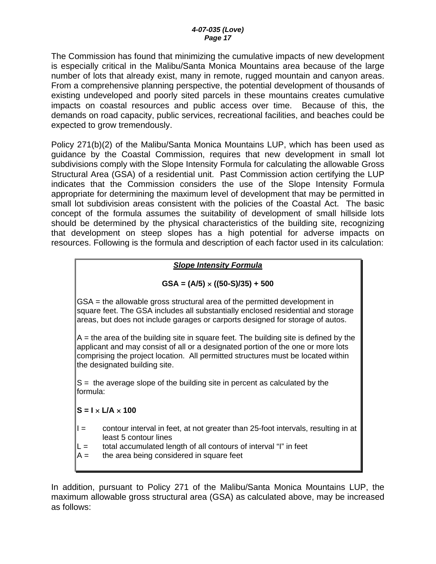#### *4-07-035 (Love) Page 17*

The Commission has found that minimizing the cumulative impacts of new development is especially critical in the Malibu/Santa Monica Mountains area because of the large number of lots that already exist, many in remote, rugged mountain and canyon areas. From a comprehensive planning perspective, the potential development of thousands of existing undeveloped and poorly sited parcels in these mountains creates cumulative impacts on coastal resources and public access over time. Because of this, the demands on road capacity, public services, recreational facilities, and beaches could be expected to grow tremendously.

Policy 271(b)(2) of the Malibu/Santa Monica Mountains LUP, which has been used as guidance by the Coastal Commission, requires that new development in small lot subdivisions comply with the Slope Intensity Formula for calculating the allowable Gross Structural Area (GSA) of a residential unit. Past Commission action certifying the LUP indicates that the Commission considers the use of the Slope Intensity Formula appropriate for determining the maximum level of development that may be permitted in small lot subdivision areas consistent with the policies of the Coastal Act. The basic concept of the formula assumes the suitability of development of small hillside lots should be determined by the physical characteristics of the building site, recognizing that development on steep slopes has a high potential for adverse impacts on resources. Following is the formula and description of each factor used in its calculation:

# *Slope Intensity Formula*

#### **GSA = (A/5)** × **((50-S)/35) + 500**

GSA = the allowable gross structural area of the permitted development in square feet. The GSA includes all substantially enclosed residential and storage areas, but does not include garages or carports designed for storage of autos.

 $A =$  the area of the building site in square feet. The building site is defined by the applicant and may consist of all or a designated portion of the one or more lots comprising the project location. All permitted structures must be located within the designated building site.

 $S =$  the average slope of the building site in percent as calculated by the formula:

#### $S = I \times I/A \times 100$

- I = contour interval in feet, at not greater than 25-foot intervals, resulting in at least 5 contour lines
- $L =$  total accumulated length of all contours of interval "I" in feet
- $A =$  the area being considered in square feet

In addition, pursuant to Policy 271 of the Malibu/Santa Monica Mountains LUP, the maximum allowable gross structural area (GSA) as calculated above, may be increased as follows: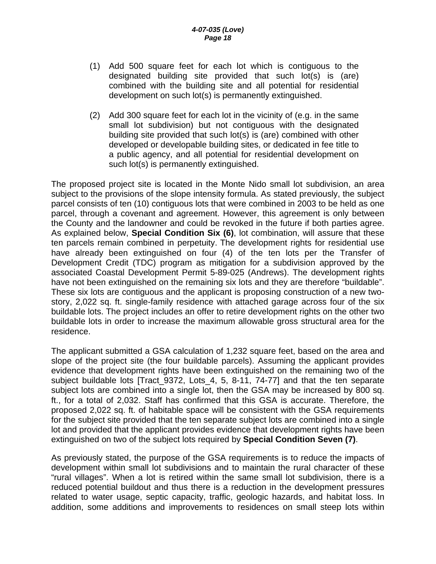- (1) Add 500 square feet for each lot which is contiguous to the designated building site provided that such lot(s) is (are) combined with the building site and all potential for residential development on such lot(s) is permanently extinguished.
- (2) Add 300 square feet for each lot in the vicinity of (e.g. in the same small lot subdivision) but not contiguous with the designated building site provided that such lot(s) is (are) combined with other developed or developable building sites, or dedicated in fee title to a public agency, and all potential for residential development on such lot(s) is permanently extinguished.

The proposed project site is located in the Monte Nido small lot subdivision, an area subject to the provisions of the slope intensity formula. As stated previously, the subject parcel consists of ten (10) contiguous lots that were combined in 2003 to be held as one parcel, through a covenant and agreement. However, this agreement is only between the County and the landowner and could be revoked in the future if both parties agree. As explained below, **Special Condition Six (6)**, lot combination, will assure that these ten parcels remain combined in perpetuity. The development rights for residential use have already been extinguished on four (4) of the ten lots per the Transfer of Development Credit (TDC) program as mitigation for a subdivision approved by the associated Coastal Development Permit 5-89-025 (Andrews). The development rights have not been extinguished on the remaining six lots and they are therefore "buildable". These six lots are contiguous and the applicant is proposing construction of a new twostory, 2,022 sq. ft. single-family residence with attached garage across four of the six buildable lots. The project includes an offer to retire development rights on the other two buildable lots in order to increase the maximum allowable gross structural area for the residence.

The applicant submitted a GSA calculation of 1,232 square feet, based on the area and slope of the project site (the four buildable parcels). Assuming the applicant provides evidence that development rights have been extinguished on the remaining two of the subject buildable lots [Tract 9372, Lots 4, 5, 8-11, 74-77] and that the ten separate subject lots are combined into a single lot, then the GSA may be increased by 800 sq. ft., for a total of 2,032. Staff has confirmed that this GSA is accurate. Therefore, the proposed 2,022 sq. ft. of habitable space will be consistent with the GSA requirements for the subject site provided that the ten separate subject lots are combined into a single lot and provided that the applicant provides evidence that development rights have been extinguished on two of the subject lots required by **Special Condition Seven (7)**.

As previously stated, the purpose of the GSA requirements is to reduce the impacts of development within small lot subdivisions and to maintain the rural character of these "rural villages". When a lot is retired within the same small lot subdivision, there is a reduced potential buildout and thus there is a reduction in the development pressures related to water usage, septic capacity, traffic, geologic hazards, and habitat loss. In addition, some additions and improvements to residences on small steep lots within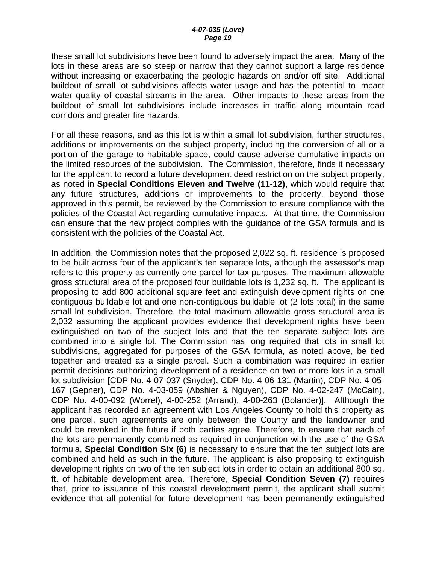these small lot subdivisions have been found to adversely impact the area. Many of the lots in these areas are so steep or narrow that they cannot support a large residence without increasing or exacerbating the geologic hazards on and/or off site. Additional buildout of small lot subdivisions affects water usage and has the potential to impact water quality of coastal streams in the area. Other impacts to these areas from the buildout of small lot subdivisions include increases in traffic along mountain road corridors and greater fire hazards.

For all these reasons, and as this lot is within a small lot subdivision, further structures, additions or improvements on the subject property, including the conversion of all or a portion of the garage to habitable space, could cause adverse cumulative impacts on the limited resources of the subdivision. The Commission, therefore, finds it necessary for the applicant to record a future development deed restriction on the subject property, as noted in **Special Conditions Eleven and Twelve (11-12)**, which would require that any future structures, additions or improvements to the property, beyond those approved in this permit, be reviewed by the Commission to ensure compliance with the policies of the Coastal Act regarding cumulative impacts. At that time, the Commission can ensure that the new project complies with the guidance of the GSA formula and is consistent with the policies of the Coastal Act.

In addition, the Commission notes that the proposed 2,022 sq. ft. residence is proposed to be built across four of the applicant's ten separate lots, although the assessor's map refers to this property as currently one parcel for tax purposes. The maximum allowable gross structural area of the proposed four buildable lots is 1,232 sq. ft. The applicant is proposing to add 800 additional square feet and extinguish development rights on one contiguous buildable lot and one non-contiguous buildable lot (2 lots total) in the same small lot subdivision. Therefore, the total maximum allowable gross structural area is 2,032 assuming the applicant provides evidence that development rights have been extinguished on two of the subject lots and that the ten separate subject lots are combined into a single lot. The Commission has long required that lots in small lot subdivisions, aggregated for purposes of the GSA formula, as noted above, be tied together and treated as a single parcel. Such a combination was required in earlier permit decisions authorizing development of a residence on two or more lots in a small lot subdivision [CDP No. 4-07-037 (Snyder), CDP No. 4-06-131 (Martin), CDP No. 4-05- 167 (Gepner), CDP No. 4-03-059 (Abshier & Nguyen), CDP No. 4-02-247 (McCain), CDP No. 4-00-092 (Worrel), 4-00-252 (Arrand), 4-00-263 (Bolander)]. Although the applicant has recorded an agreement with Los Angeles County to hold this property as one parcel, such agreements are only between the County and the landowner and could be revoked in the future if both parties agree. Therefore, to ensure that each of the lots are permanently combined as required in conjunction with the use of the GSA formula, **Special Condition Six (6)** is necessary to ensure that the ten subject lots are combined and held as such in the future. The applicant is also proposing to extinguish development rights on two of the ten subject lots in order to obtain an additional 800 sq. ft. of habitable development area. Therefore, **Special Condition Seven (7)** requires that, prior to issuance of this coastal development permit, the applicant shall submit evidence that all potential for future development has been permanently extinguished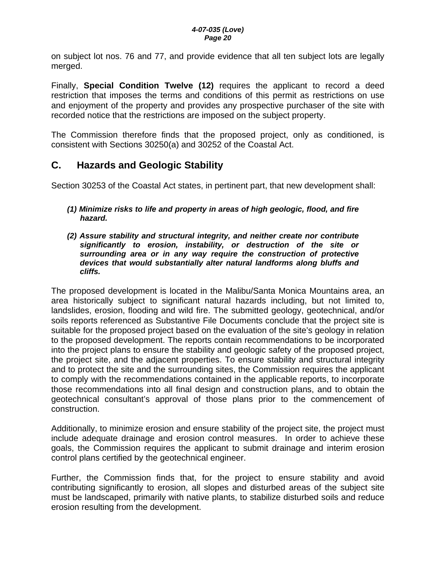on subject lot nos. 76 and 77, and provide evidence that all ten subject lots are legally merged.

Finally, **Special Condition Twelve (12)** requires the applicant to record a deed restriction that imposes the terms and conditions of this permit as restrictions on use and enjoyment of the property and provides any prospective purchaser of the site with recorded notice that the restrictions are imposed on the subject property.

The Commission therefore finds that the proposed project, only as conditioned, is consistent with Sections 30250(a) and 30252 of the Coastal Act.

# **C. Hazards and Geologic Stability**

Section 30253 of the Coastal Act states, in pertinent part, that new development shall:

- *(1) Minimize risks to life and property in areas of high geologic, flood, and fire hazard.*
- *(2) Assure stability and structural integrity, and neither create nor contribute significantly to erosion, instability, or destruction of the site or surrounding area or in any way require the construction of protective devices that would substantially alter natural landforms along bluffs and cliffs.*

The proposed development is located in the Malibu/Santa Monica Mountains area, an area historically subject to significant natural hazards including, but not limited to, landslides, erosion, flooding and wild fire. The submitted geology, geotechnical, and/or soils reports referenced as Substantive File Documents conclude that the project site is suitable for the proposed project based on the evaluation of the site's geology in relation to the proposed development. The reports contain recommendations to be incorporated into the project plans to ensure the stability and geologic safety of the proposed project, the project site, and the adjacent properties. To ensure stability and structural integrity and to protect the site and the surrounding sites, the Commission requires the applicant to comply with the recommendations contained in the applicable reports, to incorporate those recommendations into all final design and construction plans, and to obtain the geotechnical consultant's approval of those plans prior to the commencement of construction.

Additionally, to minimize erosion and ensure stability of the project site, the project must include adequate drainage and erosion control measures. In order to achieve these goals, the Commission requires the applicant to submit drainage and interim erosion control plans certified by the geotechnical engineer.

Further, the Commission finds that, for the project to ensure stability and avoid contributing significantly to erosion, all slopes and disturbed areas of the subject site must be landscaped, primarily with native plants, to stabilize disturbed soils and reduce erosion resulting from the development.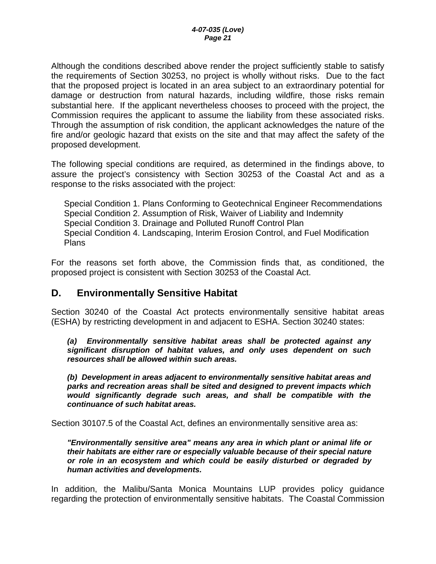Although the conditions described above render the project sufficiently stable to satisfy the requirements of Section 30253, no project is wholly without risks. Due to the fact that the proposed project is located in an area subject to an extraordinary potential for damage or destruction from natural hazards, including wildfire, those risks remain substantial here. If the applicant nevertheless chooses to proceed with the project, the Commission requires the applicant to assume the liability from these associated risks. Through the assumption of risk condition, the applicant acknowledges the nature of the fire and/or geologic hazard that exists on the site and that may affect the safety of the proposed development.

The following special conditions are required, as determined in the findings above, to assure the project's consistency with Section 30253 of the Coastal Act and as a response to the risks associated with the project:

Special Condition 1. Plans Conforming to Geotechnical Engineer Recommendations Special Condition 2. Assumption of Risk, Waiver of Liability and Indemnity Special Condition 3. Drainage and Polluted Runoff Control Plan Special Condition 4. Landscaping, Interim Erosion Control, and Fuel Modification Plans

For the reasons set forth above, the Commission finds that, as conditioned, the proposed project is consistent with Section 30253 of the Coastal Act.

# **D. Environmentally Sensitive Habitat**

Section 30240 of the Coastal Act protects environmentally sensitive habitat areas (ESHA) by restricting development in and adjacent to ESHA. Section 30240 states:

 *(a) Environmentally sensitive habitat areas shall be protected against any significant disruption of habitat values, and only uses dependent on such resources shall be allowed within such areas.* 

 *(b) Development in areas adjacent to environmentally sensitive habitat areas and parks and recreation areas shall be sited and designed to prevent impacts which would significantly degrade such areas, and shall be compatible with the continuance of such habitat areas.* 

Section 30107.5 of the Coastal Act, defines an environmentally sensitive area as:

*"Environmentally sensitive area" means any area in which plant or animal life or their habitats are either rare or especially valuable because of their special nature or role in an ecosystem and which could be easily disturbed or degraded by human activities and developments.* 

In addition, the Malibu/Santa Monica Mountains LUP provides policy guidance regarding the protection of environmentally sensitive habitats. The Coastal Commission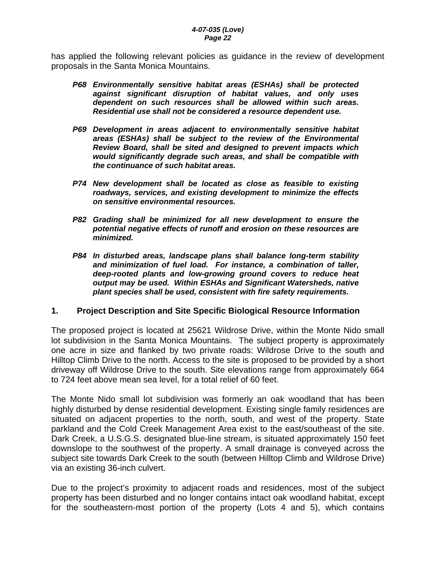has applied the following relevant policies as guidance in the review of development proposals in the Santa Monica Mountains.

- *P68 Environmentally sensitive habitat areas (ESHAs) shall be protected against significant disruption of habitat values, and only uses dependent on such resources shall be allowed within such areas. Residential use shall not be considered a resource dependent use.*
- *P69 Development in areas adjacent to environmentally sensitive habitat areas (ESHAs) shall be subject to the review of the Environmental Review Board, shall be sited and designed to prevent impacts which would significantly degrade such areas, and shall be compatible with the continuance of such habitat areas.*
- *P74 New development shall be located as close as feasible to existing roadways, services, and existing development to minimize the effects on sensitive environmental resources.*
- *P82 Grading shall be minimized for all new development to ensure the potential negative effects of runoff and erosion on these resources are minimized.*
- *P84 In disturbed areas, landscape plans shall balance long-term stability and minimization of fuel load. For instance, a combination of taller, deep-rooted plants and low-growing ground covers to reduce heat output may be used. Within ESHAs and Significant Watersheds, native plant species shall be used, consistent with fire safety requirements.*

#### **1. Project Description and Site Specific Biological Resource Information**

The proposed project is located at 25621 Wildrose Drive, within the Monte Nido small lot subdivision in the Santa Monica Mountains. The subject property is approximately one acre in size and flanked by two private roads: Wildrose Drive to the south and Hilltop Climb Drive to the north. Access to the site is proposed to be provided by a short driveway off Wildrose Drive to the south. Site elevations range from approximately 664 to 724 feet above mean sea level, for a total relief of 60 feet.

The Monte Nido small lot subdivision was formerly an oak woodland that has been highly disturbed by dense residential development. Existing single family residences are situated on adjacent properties to the north, south, and west of the property. State parkland and the Cold Creek Management Area exist to the east/southeast of the site. Dark Creek, a U.S.G.S. designated blue-line stream, is situated approximately 150 feet downslope to the southwest of the property. A small drainage is conveyed across the subject site towards Dark Creek to the south (between Hilltop Climb and Wildrose Drive) via an existing 36-inch culvert.

Due to the project's proximity to adjacent roads and residences, most of the subject property has been disturbed and no longer contains intact oak woodland habitat, except for the southeastern-most portion of the property (Lots 4 and 5), which contains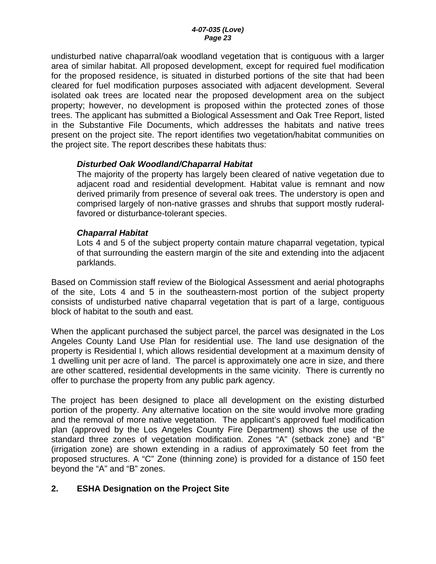undisturbed native chaparral/oak woodland vegetation that is contiguous with a larger area of similar habitat. All proposed development, except for required fuel modification for the proposed residence, is situated in disturbed portions of the site that had been cleared for fuel modification purposes associated with adjacent development. Several isolated oak trees are located near the proposed development area on the subject property; however, no development is proposed within the protected zones of those trees. The applicant has submitted a Biological Assessment and Oak Tree Report, listed in the Substantive File Documents, which addresses the habitats and native trees present on the project site. The report identifies two vegetation/habitat communities on the project site. The report describes these habitats thus:

#### *Disturbed Oak Woodland/Chaparral Habitat*

The majority of the property has largely been cleared of native vegetation due to adjacent road and residential development. Habitat value is remnant and now derived primarily from presence of several oak trees. The understory is open and comprised largely of non-native grasses and shrubs that support mostly ruderalfavored or disturbance-tolerant species.

#### *Chaparral Habitat*

Lots 4 and 5 of the subject property contain mature chaparral vegetation, typical of that surrounding the eastern margin of the site and extending into the adjacent parklands.

Based on Commission staff review of the Biological Assessment and aerial photographs of the site, Lots 4 and 5 in the southeastern-most portion of the subject property consists of undisturbed native chaparral vegetation that is part of a large, contiguous block of habitat to the south and east.

When the applicant purchased the subject parcel, the parcel was designated in the Los Angeles County Land Use Plan for residential use. The land use designation of the property is Residential I, which allows residential development at a maximum density of 1 dwelling unit per acre of land. The parcel is approximately one acre in size, and there are other scattered, residential developments in the same vicinity. There is currently no offer to purchase the property from any public park agency.

The project has been designed to place all development on the existing disturbed portion of the property. Any alternative location on the site would involve more grading and the removal of more native vegetation. The applicant's approved fuel modification plan (approved by the Los Angeles County Fire Department) shows the use of the standard three zones of vegetation modification. Zones "A" (setback zone) and "B" (irrigation zone) are shown extending in a radius of approximately 50 feet from the proposed structures. A "C" Zone (thinning zone) is provided for a distance of 150 feet beyond the "A" and "B" zones.

#### **2. ESHA Designation on the Project Site**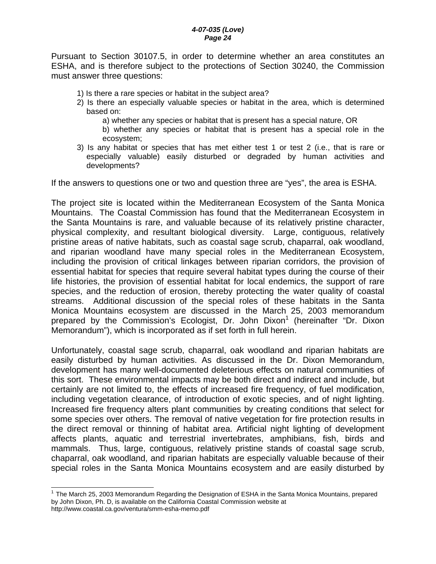Pursuant to Section 30107.5, in order to determine whether an area constitutes an ESHA, and is therefore subject to the protections of Section 30240, the Commission must answer three questions:

- 1) Is there a rare species or habitat in the subject area?
- 2) Is there an especially valuable species or habitat in the area, which is determined based on:
	- a) whether any species or habitat that is present has a special nature, OR
	- b) whether any species or habitat that is present has a special role in the ecosystem;
- 3) Is any habitat or species that has met either test 1 or test 2 (i.e., that is rare or especially valuable) easily disturbed or degraded by human activities and developments?

If the answers to questions one or two and question three are "yes", the area is ESHA.

The project site is located within the Mediterranean Ecosystem of the Santa Monica Mountains. The Coastal Commission has found that the Mediterranean Ecosystem in the Santa Mountains is rare, and valuable because of its relatively pristine character, physical complexity, and resultant biological diversity. Large, contiguous, relatively pristine areas of native habitats, such as coastal sage scrub, chaparral, oak woodland, and riparian woodland have many special roles in the Mediterranean Ecosystem, including the provision of critical linkages between riparian corridors, the provision of essential habitat for species that require several habitat types during the course of their life histories, the provision of essential habitat for local endemics, the support of rare species, and the reduction of erosion, thereby protecting the water quality of coastal streams. Additional discussion of the special roles of these habitats in the Santa Monica Mountains ecosystem are discussed in the March 25, 2003 memorandum prepared by the Commission's Ecologist, Dr. John Dixon<sup>1</sup> (hereinafter "Dr. Dixon Memorandum"), which is incorporated as if set forth in full herein.

Unfortunately, coastal sage scrub, chaparral, oak woodland and riparian habitats are easily disturbed by human activities. As discussed in the Dr. Dixon Memorandum, development has many well-documented deleterious effects on natural communities of this sort. These environmental impacts may be both direct and indirect and include, but certainly are not limited to, the effects of increased fire frequency, of fuel modification, including vegetation clearance, of introduction of exotic species, and of night lighting. Increased fire frequency alters plant communities by creating conditions that select for some species over others. The removal of native vegetation for fire protection results in the direct removal or thinning of habitat area. Artificial night lighting of development affects plants, aquatic and terrestrial invertebrates, amphibians, fish, birds and mammals. Thus, large, contiguous, relatively pristine stands of coastal sage scrub, chaparral, oak woodland, and riparian habitats are especially valuable because of their special roles in the Santa Monica Mountains ecosystem and are easily disturbed by

 $\overline{\phantom{a}}$ 

 $1$  The March 25, 2003 Memorandum Regarding the Designation of ESHA in the Santa Monica Mountains, prepared by John Dixon, Ph. D, is available on the California Coastal Commission website at http://www.coastal.ca.gov/ventura/smm-esha-memo.pdf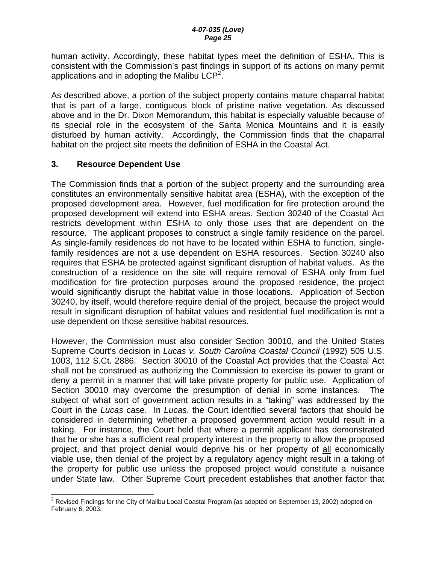human activity. Accordingly, these habitat types meet the definition of ESHA. This is consistent with the Commission's past findings in support of its actions on many permit applications and in adopting the Malibu  $LCP<sup>2</sup>$ .

As described above, a portion of the subject property contains mature chaparral habitat that is part of a large, contiguous block of pristine native vegetation. As discussed above and in the Dr. Dixon Memorandum, this habitat is especially valuable because of its special role in the ecosystem of the Santa Monica Mountains and it is easily disturbed by human activity. Accordingly, the Commission finds that the chaparral habitat on the project site meets the definition of ESHA in the Coastal Act.

### **3. Resource Dependent Use**

The Commission finds that a portion of the subject property and the surrounding area constitutes an environmentally sensitive habitat area (ESHA), with the exception of the proposed development area. However, fuel modification for fire protection around the proposed development will extend into ESHA areas. Section 30240 of the Coastal Act restricts development within ESHA to only those uses that are dependent on the resource. The applicant proposes to construct a single family residence on the parcel. As single-family residences do not have to be located within ESHA to function, singlefamily residences are not a use dependent on ESHA resources. Section 30240 also requires that ESHA be protected against significant disruption of habitat values. As the construction of a residence on the site will require removal of ESHA only from fuel modification for fire protection purposes around the proposed residence, the project would significantly disrupt the habitat value in those locations. Application of Section 30240, by itself, would therefore require denial of the project, because the project would result in significant disruption of habitat values and residential fuel modification is not a use dependent on those sensitive habitat resources.

However, the Commission must also consider Section 30010, and the United States Supreme Court's decision in *Lucas v. South Carolina Coastal Council* (1992) 505 U.S. 1003, 112 S.Ct. 2886. Section 30010 of the Coastal Act provides that the Coastal Act shall not be construed as authorizing the Commission to exercise its power to grant or deny a permit in a manner that will take private property for public use. Application of Section 30010 may overcome the presumption of denial in some instances. The subject of what sort of government action results in a "taking" was addressed by the Court in the *Lucas* case. In *Lucas*, the Court identified several factors that should be considered in determining whether a proposed government action would result in a taking. For instance, the Court held that where a permit applicant has demonstrated that he or she has a sufficient real property interest in the property to allow the proposed project, and that project denial would deprive his or her property of all economically viable use, then denial of the project by a regulatory agency might result in a taking of the property for public use unless the proposed project would constitute a nuisance under State law. Other Supreme Court precedent establishes that another factor that

 2 Revised Findings for the City of Malibu Local Coastal Program (as adopted on September 13, 2002) adopted on February 6, 2003.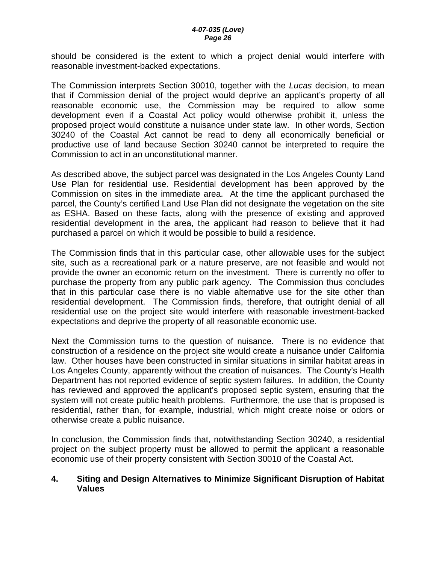should be considered is the extent to which a project denial would interfere with reasonable investment-backed expectations.

The Commission interprets Section 30010, together with the *Lucas* decision, to mean that if Commission denial of the project would deprive an applicant's property of all reasonable economic use, the Commission may be required to allow some development even if a Coastal Act policy would otherwise prohibit it, unless the proposed project would constitute a nuisance under state law. In other words, Section 30240 of the Coastal Act cannot be read to deny all economically beneficial or productive use of land because Section 30240 cannot be interpreted to require the Commission to act in an unconstitutional manner.

As described above, the subject parcel was designated in the Los Angeles County Land Use Plan for residential use. Residential development has been approved by the Commission on sites in the immediate area. At the time the applicant purchased the parcel, the County's certified Land Use Plan did not designate the vegetation on the site as ESHA. Based on these facts, along with the presence of existing and approved residential development in the area, the applicant had reason to believe that it had purchased a parcel on which it would be possible to build a residence.

The Commission finds that in this particular case, other allowable uses for the subject site, such as a recreational park or a nature preserve, are not feasible and would not provide the owner an economic return on the investment. There is currently no offer to purchase the property from any public park agency. The Commission thus concludes that in this particular case there is no viable alternative use for the site other than residential development. The Commission finds, therefore, that outright denial of all residential use on the project site would interfere with reasonable investment-backed expectations and deprive the property of all reasonable economic use.

Next the Commission turns to the question of nuisance. There is no evidence that construction of a residence on the project site would create a nuisance under California law. Other houses have been constructed in similar situations in similar habitat areas in Los Angeles County, apparently without the creation of nuisances. The County's Health Department has not reported evidence of septic system failures. In addition, the County has reviewed and approved the applicant's proposed septic system, ensuring that the system will not create public health problems. Furthermore, the use that is proposed is residential, rather than, for example, industrial, which might create noise or odors or otherwise create a public nuisance.

In conclusion, the Commission finds that, notwithstanding Section 30240, a residential project on the subject property must be allowed to permit the applicant a reasonable economic use of their property consistent with Section 30010 of the Coastal Act.

#### **4. Siting and Design Alternatives to Minimize Significant Disruption of Habitat Values**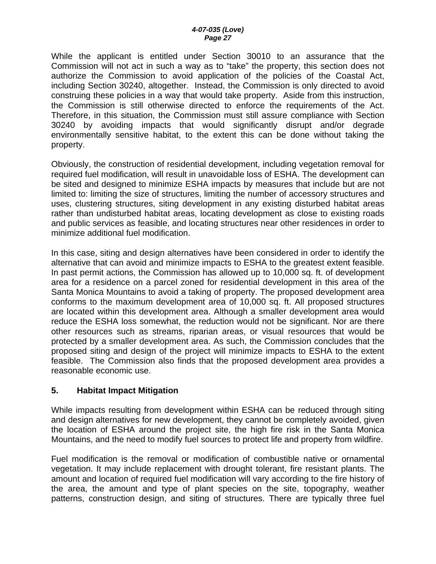While the applicant is entitled under Section 30010 to an assurance that the Commission will not act in such a way as to "take" the property, this section does not authorize the Commission to avoid application of the policies of the Coastal Act, including Section 30240, altogether. Instead, the Commission is only directed to avoid construing these policies in a way that would take property. Aside from this instruction, the Commission is still otherwise directed to enforce the requirements of the Act. Therefore, in this situation, the Commission must still assure compliance with Section 30240 by avoiding impacts that would significantly disrupt and/or degrade environmentally sensitive habitat, to the extent this can be done without taking the property.

Obviously, the construction of residential development, including vegetation removal for required fuel modification, will result in unavoidable loss of ESHA. The development can be sited and designed to minimize ESHA impacts by measures that include but are not limited to: limiting the size of structures, limiting the number of accessory structures and uses, clustering structures, siting development in any existing disturbed habitat areas rather than undisturbed habitat areas, locating development as close to existing roads and public services as feasible, and locating structures near other residences in order to minimize additional fuel modification.

In this case, siting and design alternatives have been considered in order to identify the alternative that can avoid and minimize impacts to ESHA to the greatest extent feasible. In past permit actions, the Commission has allowed up to 10,000 sq. ft. of development area for a residence on a parcel zoned for residential development in this area of the Santa Monica Mountains to avoid a taking of property. The proposed development area conforms to the maximum development area of 10,000 sq. ft. All proposed structures are located within this development area. Although a smaller development area would reduce the ESHA loss somewhat, the reduction would not be significant. Nor are there other resources such as streams, riparian areas, or visual resources that would be protected by a smaller development area. As such, the Commission concludes that the proposed siting and design of the project will minimize impacts to ESHA to the extent feasible. The Commission also finds that the proposed development area provides a reasonable economic use.

#### **5. Habitat Impact Mitigation**

While impacts resulting from development within ESHA can be reduced through siting and design alternatives for new development, they cannot be completely avoided, given the location of ESHA around the project site, the high fire risk in the Santa Monica Mountains, and the need to modify fuel sources to protect life and property from wildfire.

Fuel modification is the removal or modification of combustible native or ornamental vegetation. It may include replacement with drought tolerant, fire resistant plants. The amount and location of required fuel modification will vary according to the fire history of the area, the amount and type of plant species on the site, topography, weather patterns, construction design, and siting of structures. There are typically three fuel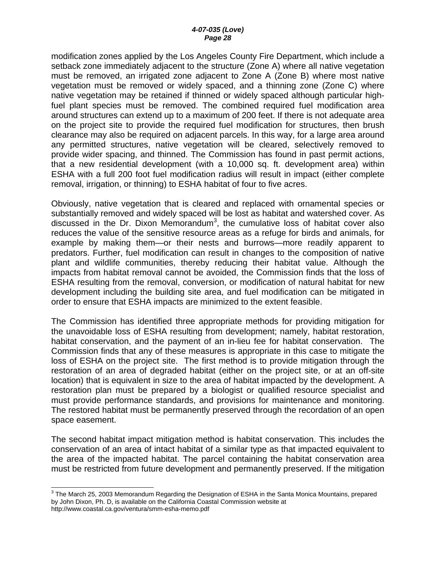#### *4-07-035 (Love) Page 28*

modification zones applied by the Los Angeles County Fire Department, which include a setback zone immediately adjacent to the structure (Zone A) where all native vegetation must be removed, an irrigated zone adjacent to Zone A (Zone B) where most native vegetation must be removed or widely spaced, and a thinning zone (Zone C) where native vegetation may be retained if thinned or widely spaced although particular highfuel plant species must be removed. The combined required fuel modification area around structures can extend up to a maximum of 200 feet. If there is not adequate area on the project site to provide the required fuel modification for structures, then brush clearance may also be required on adjacent parcels. In this way, for a large area around any permitted structures, native vegetation will be cleared, selectively removed to provide wider spacing, and thinned. The Commission has found in past permit actions, that a new residential development (with a 10,000 sq. ft. development area) within ESHA with a full 200 foot fuel modification radius will result in impact (either complete removal, irrigation, or thinning) to ESHA habitat of four to five acres.

Obviously, native vegetation that is cleared and replaced with ornamental species or substantially removed and widely spaced will be lost as habitat and watershed cover. As discussed in the Dr. Dixon Memorandum<sup>3</sup>, the cumulative loss of habitat cover also reduces the value of the sensitive resource areas as a refuge for birds and animals, for example by making them—or their nests and burrows—more readily apparent to predators. Further, fuel modification can result in changes to the composition of native plant and wildlife communities, thereby reducing their habitat value. Although the impacts from habitat removal cannot be avoided, the Commission finds that the loss of ESHA resulting from the removal, conversion, or modification of natural habitat for new development including the building site area, and fuel modification can be mitigated in order to ensure that ESHA impacts are minimized to the extent feasible.

The Commission has identified three appropriate methods for providing mitigation for the unavoidable loss of ESHA resulting from development; namely, habitat restoration, habitat conservation, and the payment of an in-lieu fee for habitat conservation. The Commission finds that any of these measures is appropriate in this case to mitigate the loss of ESHA on the project site. The first method is to provide mitigation through the restoration of an area of degraded habitat (either on the project site, or at an off-site location) that is equivalent in size to the area of habitat impacted by the development. A restoration plan must be prepared by a biologist or qualified resource specialist and must provide performance standards, and provisions for maintenance and monitoring. The restored habitat must be permanently preserved through the recordation of an open space easement.

The second habitat impact mitigation method is habitat conservation. This includes the conservation of an area of intact habitat of a similar type as that impacted equivalent to the area of the impacted habitat. The parcel containing the habitat conservation area must be restricted from future development and permanently preserved. If the mitigation

 3 The March 25, 2003 Memorandum Regarding the Designation of ESHA in the Santa Monica Mountains, prepared by John Dixon, Ph. D, is available on the California Coastal Commission website at http://www.coastal.ca.gov/ventura/smm-esha-memo.pdf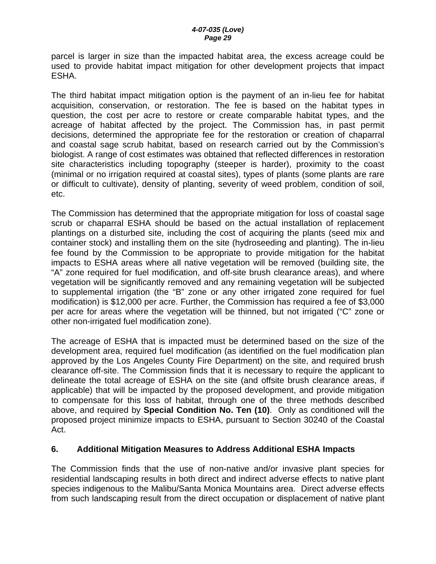parcel is larger in size than the impacted habitat area, the excess acreage could be used to provide habitat impact mitigation for other development projects that impact ESHA.

The third habitat impact mitigation option is the payment of an in-lieu fee for habitat acquisition, conservation, or restoration. The fee is based on the habitat types in question, the cost per acre to restore or create comparable habitat types, and the acreage of habitat affected by the project. The Commission has, in past permit decisions, determined the appropriate fee for the restoration or creation of chaparral and coastal sage scrub habitat, based on research carried out by the Commission's biologist. A range of cost estimates was obtained that reflected differences in restoration site characteristics including topography (steeper is harder), proximity to the coast (minimal or no irrigation required at coastal sites), types of plants (some plants are rare or difficult to cultivate), density of planting, severity of weed problem, condition of soil, etc.

The Commission has determined that the appropriate mitigation for loss of coastal sage scrub or chaparral ESHA should be based on the actual installation of replacement plantings on a disturbed site, including the cost of acquiring the plants (seed mix and container stock) and installing them on the site (hydroseeding and planting). The in-lieu fee found by the Commission to be appropriate to provide mitigation for the habitat impacts to ESHA areas where all native vegetation will be removed (building site, the "A" zone required for fuel modification, and off-site brush clearance areas), and where vegetation will be significantly removed and any remaining vegetation will be subjected to supplemental irrigation (the "B" zone or any other irrigated zone required for fuel modification) is \$12,000 per acre. Further, the Commission has required a fee of \$3,000 per acre for areas where the vegetation will be thinned, but not irrigated ("C" zone or other non-irrigated fuel modification zone).

The acreage of ESHA that is impacted must be determined based on the size of the development area, required fuel modification (as identified on the fuel modification plan approved by the Los Angeles County Fire Department) on the site, and required brush clearance off-site. The Commission finds that it is necessary to require the applicant to delineate the total acreage of ESHA on the site (and offsite brush clearance areas, if applicable) that will be impacted by the proposed development, and provide mitigation to compensate for this loss of habitat, through one of the three methods described above, and required by **Special Condition No. Ten (10)**. Only as conditioned will the proposed project minimize impacts to ESHA, pursuant to Section 30240 of the Coastal Act.

#### **6. Additional Mitigation Measures to Address Additional ESHA Impacts**

The Commission finds that the use of non-native and/or invasive plant species for residential landscaping results in both direct and indirect adverse effects to native plant species indigenous to the Malibu/Santa Monica Mountains area. Direct adverse effects from such landscaping result from the direct occupation or displacement of native plant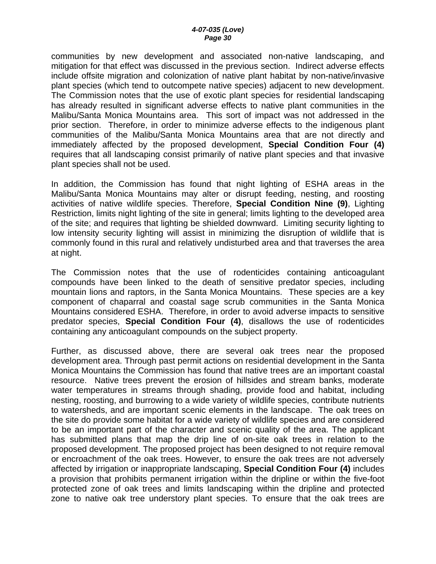communities by new development and associated non-native landscaping, and mitigation for that effect was discussed in the previous section. Indirect adverse effects include offsite migration and colonization of native plant habitat by non-native/invasive plant species (which tend to outcompete native species) adjacent to new development. The Commission notes that the use of exotic plant species for residential landscaping has already resulted in significant adverse effects to native plant communities in the Malibu/Santa Monica Mountains area. This sort of impact was not addressed in the prior section. Therefore, in order to minimize adverse effects to the indigenous plant communities of the Malibu/Santa Monica Mountains area that are not directly and immediately affected by the proposed development, **Special Condition Four (4)** requires that all landscaping consist primarily of native plant species and that invasive plant species shall not be used.

In addition, the Commission has found that night lighting of ESHA areas in the Malibu/Santa Monica Mountains may alter or disrupt feeding, nesting, and roosting activities of native wildlife species. Therefore, **Special Condition Nine (9)**, Lighting Restriction, limits night lighting of the site in general; limits lighting to the developed area of the site; and requires that lighting be shielded downward. Limiting security lighting to low intensity security lighting will assist in minimizing the disruption of wildlife that is commonly found in this rural and relatively undisturbed area and that traverses the area at night.

The Commission notes that the use of rodenticides containing anticoagulant compounds have been linked to the death of sensitive predator species, including mountain lions and raptors, in the Santa Monica Mountains. These species are a key component of chaparral and coastal sage scrub communities in the Santa Monica Mountains considered ESHA. Therefore, in order to avoid adverse impacts to sensitive predator species, **Special Condition Four (4)**, disallows the use of rodenticides containing any anticoagulant compounds on the subject property.

Further, as discussed above, there are several oak trees near the proposed development area. Through past permit actions on residential development in the Santa Monica Mountains the Commission has found that native trees are an important coastal resource. Native trees prevent the erosion of hillsides and stream banks, moderate water temperatures in streams through shading, provide food and habitat, including nesting, roosting, and burrowing to a wide variety of wildlife species, contribute nutrients to watersheds, and are important scenic elements in the landscape. The oak trees on the site do provide some habitat for a wide variety of wildlife species and are considered to be an important part of the character and scenic quality of the area. The applicant has submitted plans that map the drip line of on-site oak trees in relation to the proposed development. The proposed project has been designed to not require removal or encroachment of the oak trees. However, to ensure the oak trees are not adversely affected by irrigation or inappropriate landscaping, **Special Condition Four (4)** includes a provision that prohibits permanent irrigation within the dripline or within the five-foot protected zone of oak trees and limits landscaping within the dripline and protected zone to native oak tree understory plant species. To ensure that the oak trees are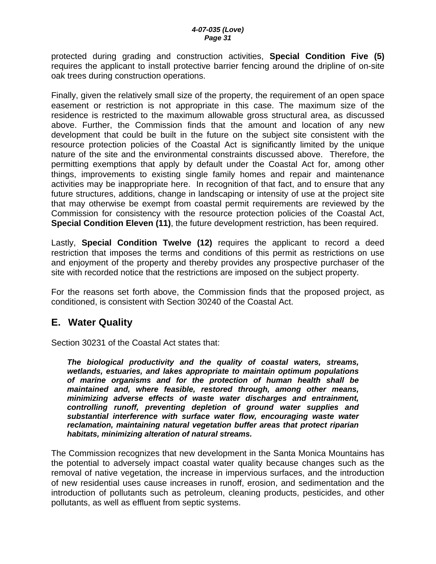protected during grading and construction activities, **Special Condition Five (5)** requires the applicant to install protective barrier fencing around the dripline of on-site oak trees during construction operations.

Finally, given the relatively small size of the property, the requirement of an open space easement or restriction is not appropriate in this case. The maximum size of the residence is restricted to the maximum allowable gross structural area, as discussed above. Further, the Commission finds that the amount and location of any new development that could be built in the future on the subject site consistent with the resource protection policies of the Coastal Act is significantly limited by the unique nature of the site and the environmental constraints discussed above. Therefore, the permitting exemptions that apply by default under the Coastal Act for, among other things, improvements to existing single family homes and repair and maintenance activities may be inappropriate here. In recognition of that fact, and to ensure that any future structures, additions, change in landscaping or intensity of use at the project site that may otherwise be exempt from coastal permit requirements are reviewed by the Commission for consistency with the resource protection policies of the Coastal Act, **Special Condition Eleven (11)**, the future development restriction, has been required.

Lastly, **Special Condition Twelve (12)** requires the applicant to record a deed restriction that imposes the terms and conditions of this permit as restrictions on use and enjoyment of the property and thereby provides any prospective purchaser of the site with recorded notice that the restrictions are imposed on the subject property.

For the reasons set forth above, the Commission finds that the proposed project, as conditioned, is consistent with Section 30240 of the Coastal Act.

# **E. Water Quality**

Section 30231 of the Coastal Act states that:

*The biological productivity and the quality of coastal waters, streams, wetlands, estuaries, and lakes appropriate to maintain optimum populations of marine organisms and for the protection of human health shall be maintained and, where feasible, restored through, among other means, minimizing adverse effects of waste water discharges and entrainment, controlling runoff, preventing depletion of ground water supplies and substantial interference with surface water flow, encouraging waste water reclamation, maintaining natural vegetation buffer areas that protect riparian habitats, minimizing alteration of natural streams.* 

The Commission recognizes that new development in the Santa Monica Mountains has the potential to adversely impact coastal water quality because changes such as the removal of native vegetation, the increase in impervious surfaces, and the introduction of new residential uses cause increases in runoff, erosion, and sedimentation and the introduction of pollutants such as petroleum, cleaning products, pesticides, and other pollutants, as well as effluent from septic systems.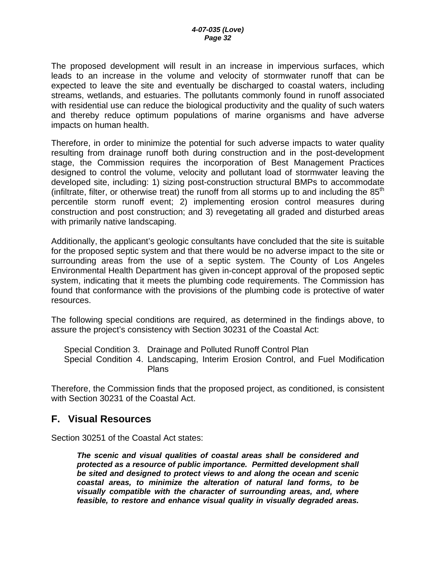The proposed development will result in an increase in impervious surfaces, which leads to an increase in the volume and velocity of stormwater runoff that can be expected to leave the site and eventually be discharged to coastal waters, including streams, wetlands, and estuaries. The pollutants commonly found in runoff associated with residential use can reduce the biological productivity and the quality of such waters and thereby reduce optimum populations of marine organisms and have adverse impacts on human health.

Therefore, in order to minimize the potential for such adverse impacts to water quality resulting from drainage runoff both during construction and in the post-development stage, the Commission requires the incorporation of Best Management Practices designed to control the volume, velocity and pollutant load of stormwater leaving the developed site, including: 1) sizing post-construction structural BMPs to accommodate (infiltrate, filter, or otherwise treat) the runoff from all storms up to and including the  $85<sup>th</sup>$ percentile storm runoff event; 2) implementing erosion control measures during construction and post construction; and 3) revegetating all graded and disturbed areas with primarily native landscaping.

Additionally, the applicant's geologic consultants have concluded that the site is suitable for the proposed septic system and that there would be no adverse impact to the site or surrounding areas from the use of a septic system. The County of Los Angeles Environmental Health Department has given in-concept approval of the proposed septic system, indicating that it meets the plumbing code requirements. The Commission has found that conformance with the provisions of the plumbing code is protective of water resources.

The following special conditions are required, as determined in the findings above, to assure the project's consistency with Section 30231 of the Coastal Act:

Special Condition 3. Drainage and Polluted Runoff Control Plan Special Condition 4. Landscaping, Interim Erosion Control, and Fuel Modification Plans

Therefore, the Commission finds that the proposed project, as conditioned, is consistent with Section 30231 of the Coastal Act.

# **F. Visual Resources**

Section 30251 of the Coastal Act states:

*The scenic and visual qualities of coastal areas shall be considered and protected as a resource of public importance. Permitted development shall be sited and designed to protect views to and along the ocean and scenic coastal areas, to minimize the alteration of natural land forms, to be visually compatible with the character of surrounding areas, and, where feasible, to restore and enhance visual quality in visually degraded areas.*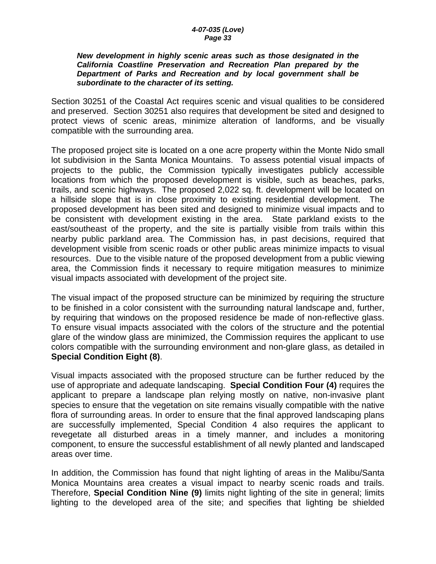#### *New development in highly scenic areas such as those designated in the California Coastline Preservation and Recreation Plan prepared by the Department of Parks and Recreation and by local government shall be subordinate to the character of its setting.*

Section 30251 of the Coastal Act requires scenic and visual qualities to be considered and preserved. Section 30251 also requires that development be sited and designed to protect views of scenic areas, minimize alteration of landforms, and be visually compatible with the surrounding area.

The proposed project site is located on a one acre property within the Monte Nido small lot subdivision in the Santa Monica Mountains. To assess potential visual impacts of projects to the public, the Commission typically investigates publicly accessible locations from which the proposed development is visible, such as beaches, parks, trails, and scenic highways. The proposed 2,022 sq. ft. development will be located on a hillside slope that is in close proximity to existing residential development. The proposed development has been sited and designed to minimize visual impacts and to be consistent with development existing in the area. State parkland exists to the east/southeast of the property, and the site is partially visible from trails within this nearby public parkland area. The Commission has, in past decisions, required that development visible from scenic roads or other public areas minimize impacts to visual resources. Due to the visible nature of the proposed development from a public viewing area, the Commission finds it necessary to require mitigation measures to minimize visual impacts associated with development of the project site.

The visual impact of the proposed structure can be minimized by requiring the structure to be finished in a color consistent with the surrounding natural landscape and, further, by requiring that windows on the proposed residence be made of non-reflective glass. To ensure visual impacts associated with the colors of the structure and the potential glare of the window glass are minimized, the Commission requires the applicant to use colors compatible with the surrounding environment and non-glare glass, as detailed in **Special Condition Eight (8)**.

Visual impacts associated with the proposed structure can be further reduced by the use of appropriate and adequate landscaping. **Special Condition Four (4)** requires the applicant to prepare a landscape plan relying mostly on native, non-invasive plant species to ensure that the vegetation on site remains visually compatible with the native flora of surrounding areas. In order to ensure that the final approved landscaping plans are successfully implemented, Special Condition 4 also requires the applicant to revegetate all disturbed areas in a timely manner, and includes a monitoring component, to ensure the successful establishment of all newly planted and landscaped areas over time.

In addition, the Commission has found that night lighting of areas in the Malibu/Santa Monica Mountains area creates a visual impact to nearby scenic roads and trails. Therefore, **Special Condition Nine (9)** limits night lighting of the site in general; limits lighting to the developed area of the site; and specifies that lighting be shielded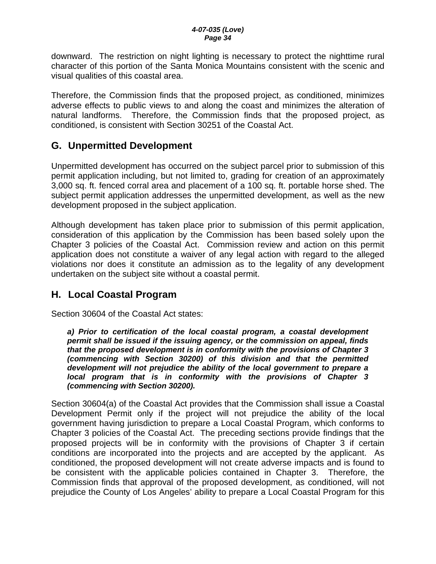downward. The restriction on night lighting is necessary to protect the nighttime rural character of this portion of the Santa Monica Mountains consistent with the scenic and visual qualities of this coastal area.

Therefore, the Commission finds that the proposed project, as conditioned, minimizes adverse effects to public views to and along the coast and minimizes the alteration of natural landforms. Therefore, the Commission finds that the proposed project, as conditioned, is consistent with Section 30251 of the Coastal Act.

# **G. Unpermitted Development**

Unpermitted development has occurred on the subject parcel prior to submission of this permit application including, but not limited to, grading for creation of an approximately 3,000 sq. ft. fenced corral area and placement of a 100 sq. ft. portable horse shed. The subject permit application addresses the unpermitted development, as well as the new development proposed in the subject application.

Although development has taken place prior to submission of this permit application, consideration of this application by the Commission has been based solely upon the Chapter 3 policies of the Coastal Act. Commission review and action on this permit application does not constitute a waiver of any legal action with regard to the alleged violations nor does it constitute an admission as to the legality of any development undertaken on the subject site without a coastal permit.

# **H. Local Coastal Program**

Section 30604 of the Coastal Act states:

*a) Prior to certification of the local coastal program, a coastal development permit shall be issued if the issuing agency, or the commission on appeal, finds that the proposed development is in conformity with the provisions of Chapter 3 (commencing with Section 30200) of this division and that the permitted development will not prejudice the ability of the local government to prepare a local program that is in conformity with the provisions of Chapter 3 (commencing with Section 30200).* 

Section 30604(a) of the Coastal Act provides that the Commission shall issue a Coastal Development Permit only if the project will not prejudice the ability of the local government having jurisdiction to prepare a Local Coastal Program, which conforms to Chapter 3 policies of the Coastal Act. The preceding sections provide findings that the proposed projects will be in conformity with the provisions of Chapter 3 if certain conditions are incorporated into the projects and are accepted by the applicant. As conditioned, the proposed development will not create adverse impacts and is found to be consistent with the applicable policies contained in Chapter 3. Therefore, the Commission finds that approval of the proposed development, as conditioned, will not prejudice the County of Los Angeles' ability to prepare a Local Coastal Program for this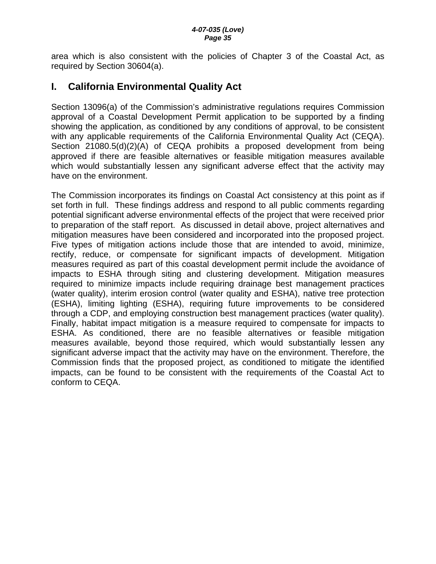area which is also consistent with the policies of Chapter 3 of the Coastal Act, as required by Section 30604(a).

# **I. California Environmental Quality Act**

Section 13096(a) of the Commission's administrative regulations requires Commission approval of a Coastal Development Permit application to be supported by a finding showing the application, as conditioned by any conditions of approval, to be consistent with any applicable requirements of the California Environmental Quality Act (CEQA). Section 21080.5(d)(2)(A) of CEQA prohibits a proposed development from being approved if there are feasible alternatives or feasible mitigation measures available which would substantially lessen any significant adverse effect that the activity may have on the environment.

The Commission incorporates its findings on Coastal Act consistency at this point as if set forth in full. These findings address and respond to all public comments regarding potential significant adverse environmental effects of the project that were received prior to preparation of the staff report. As discussed in detail above, project alternatives and mitigation measures have been considered and incorporated into the proposed project. Five types of mitigation actions include those that are intended to avoid, minimize, rectify, reduce, or compensate for significant impacts of development. Mitigation measures required as part of this coastal development permit include the avoidance of impacts to ESHA through siting and clustering development. Mitigation measures required to minimize impacts include requiring drainage best management practices (water quality), interim erosion control (water quality and ESHA), native tree protection (ESHA), limiting lighting (ESHA), requiring future improvements to be considered through a CDP, and employing construction best management practices (water quality). Finally, habitat impact mitigation is a measure required to compensate for impacts to ESHA. As conditioned, there are no feasible alternatives or feasible mitigation measures available, beyond those required, which would substantially lessen any significant adverse impact that the activity may have on the environment. Therefore, the Commission finds that the proposed project, as conditioned to mitigate the identified impacts, can be found to be consistent with the requirements of the Coastal Act to conform to CEQA.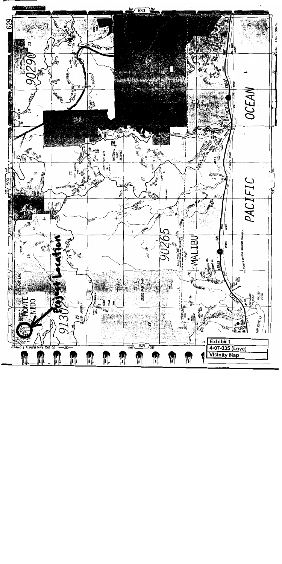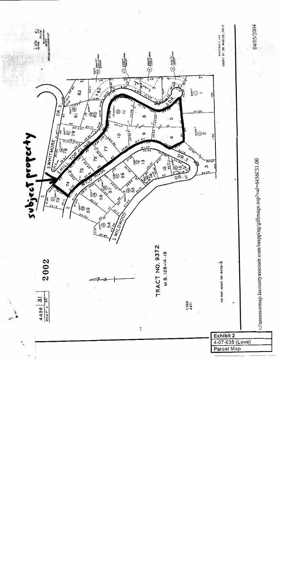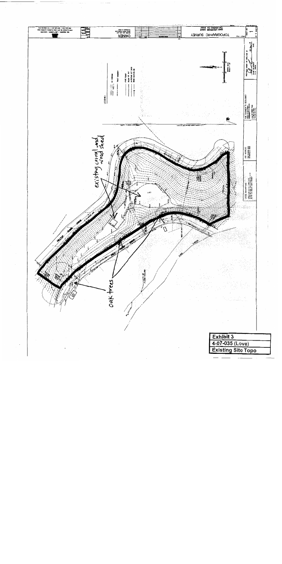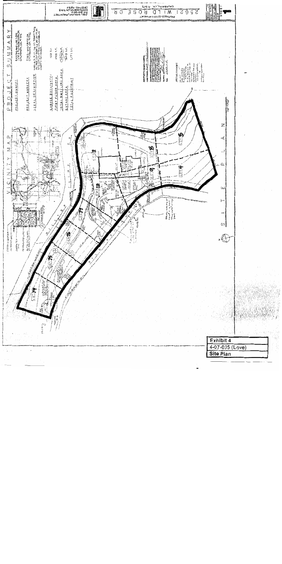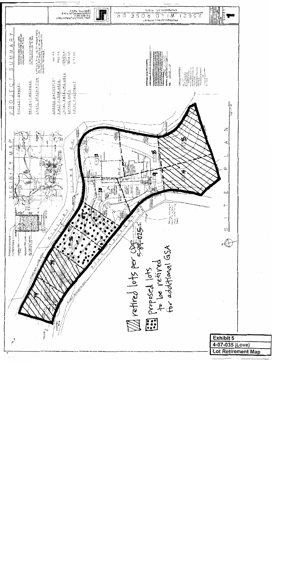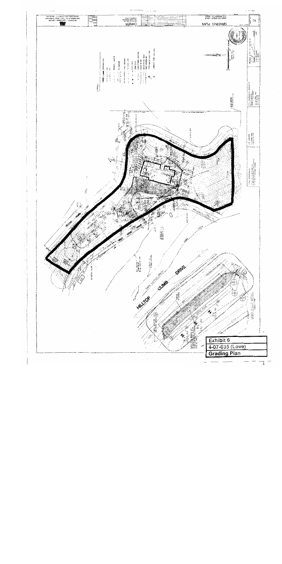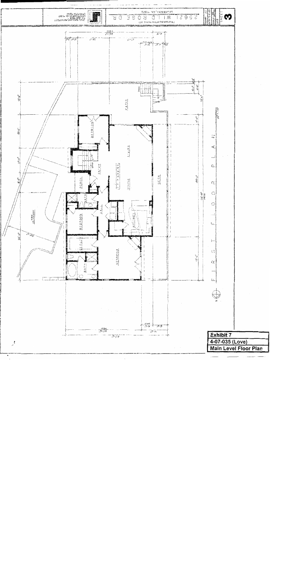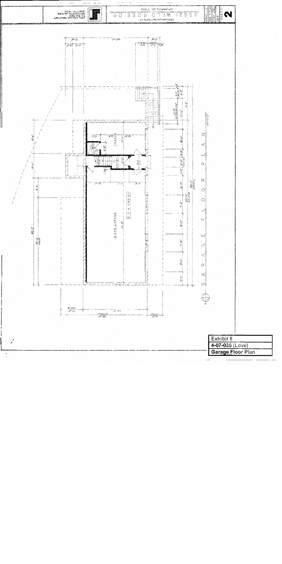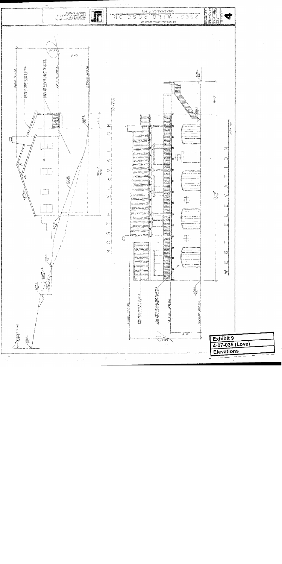